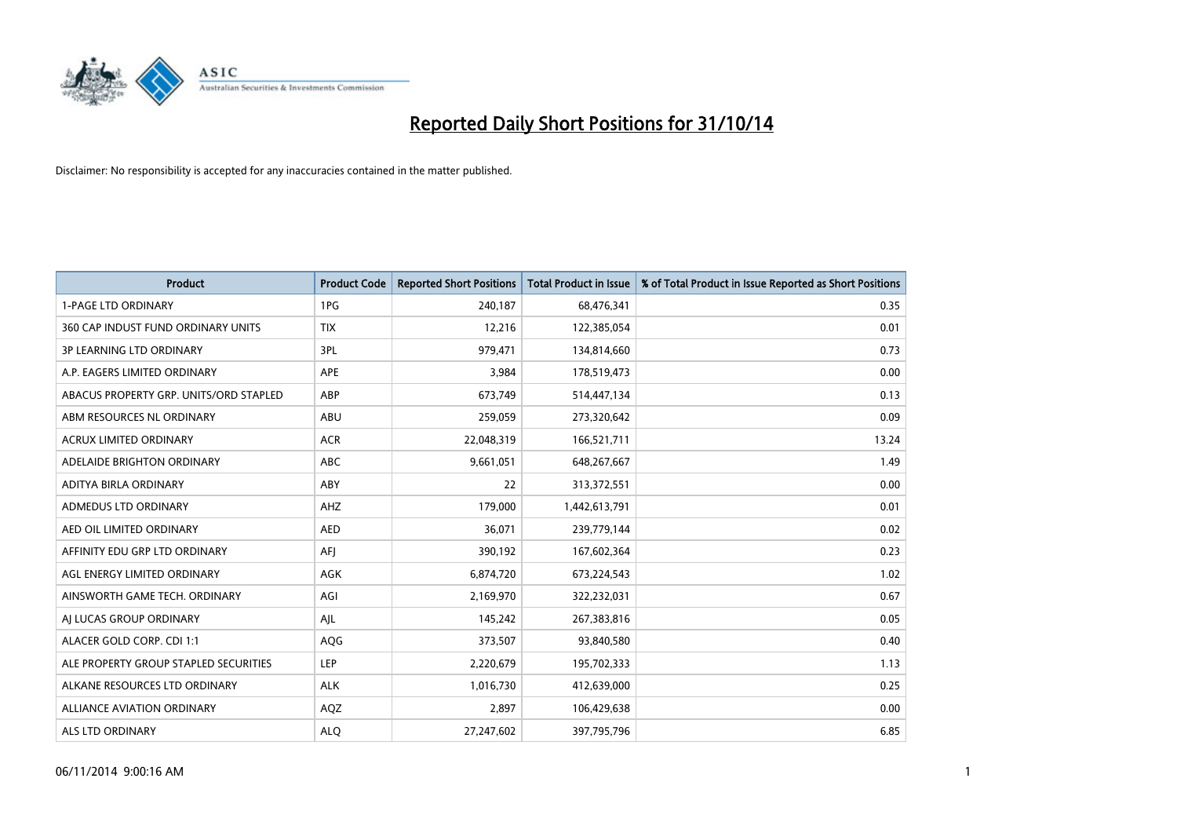

| <b>Product</b>                         | <b>Product Code</b> | <b>Reported Short Positions</b> | <b>Total Product in Issue</b> | % of Total Product in Issue Reported as Short Positions |
|----------------------------------------|---------------------|---------------------------------|-------------------------------|---------------------------------------------------------|
| <b>1-PAGE LTD ORDINARY</b>             | 1PG                 | 240,187                         | 68,476,341                    | 0.35                                                    |
| 360 CAP INDUST FUND ORDINARY UNITS     | <b>TIX</b>          | 12,216                          | 122,385,054                   | 0.01                                                    |
| 3P LEARNING LTD ORDINARY               | 3PL                 | 979,471                         | 134,814,660                   | 0.73                                                    |
| A.P. EAGERS LIMITED ORDINARY           | APE                 | 3,984                           | 178,519,473                   | 0.00                                                    |
| ABACUS PROPERTY GRP. UNITS/ORD STAPLED | ABP                 | 673,749                         | 514,447,134                   | 0.13                                                    |
| ABM RESOURCES NL ORDINARY              | ABU                 | 259,059                         | 273,320,642                   | 0.09                                                    |
| ACRUX LIMITED ORDINARY                 | <b>ACR</b>          | 22,048,319                      | 166,521,711                   | 13.24                                                   |
| ADELAIDE BRIGHTON ORDINARY             | ABC                 | 9,661,051                       | 648,267,667                   | 1.49                                                    |
| ADITYA BIRLA ORDINARY                  | ABY                 | 22                              | 313,372,551                   | 0.00                                                    |
| ADMEDUS LTD ORDINARY                   | AHZ                 | 179,000                         | 1,442,613,791                 | 0.01                                                    |
| AED OIL LIMITED ORDINARY               | <b>AED</b>          | 36,071                          | 239,779,144                   | 0.02                                                    |
| AFFINITY EDU GRP LTD ORDINARY          | AFJ                 | 390,192                         | 167,602,364                   | 0.23                                                    |
| AGL ENERGY LIMITED ORDINARY            | AGK                 | 6,874,720                       | 673,224,543                   | 1.02                                                    |
| AINSWORTH GAME TECH. ORDINARY          | AGI                 | 2,169,970                       | 322,232,031                   | 0.67                                                    |
| AJ LUCAS GROUP ORDINARY                | AJL                 | 145,242                         | 267,383,816                   | 0.05                                                    |
| ALACER GOLD CORP. CDI 1:1              | AQG                 | 373,507                         | 93,840,580                    | 0.40                                                    |
| ALE PROPERTY GROUP STAPLED SECURITIES  | LEP                 | 2,220,679                       | 195,702,333                   | 1.13                                                    |
| ALKANE RESOURCES LTD ORDINARY          | <b>ALK</b>          | 1,016,730                       | 412,639,000                   | 0.25                                                    |
| <b>ALLIANCE AVIATION ORDINARY</b>      | AQZ                 | 2,897                           | 106,429,638                   | 0.00                                                    |
| ALS LTD ORDINARY                       | <b>ALQ</b>          | 27,247,602                      | 397,795,796                   | 6.85                                                    |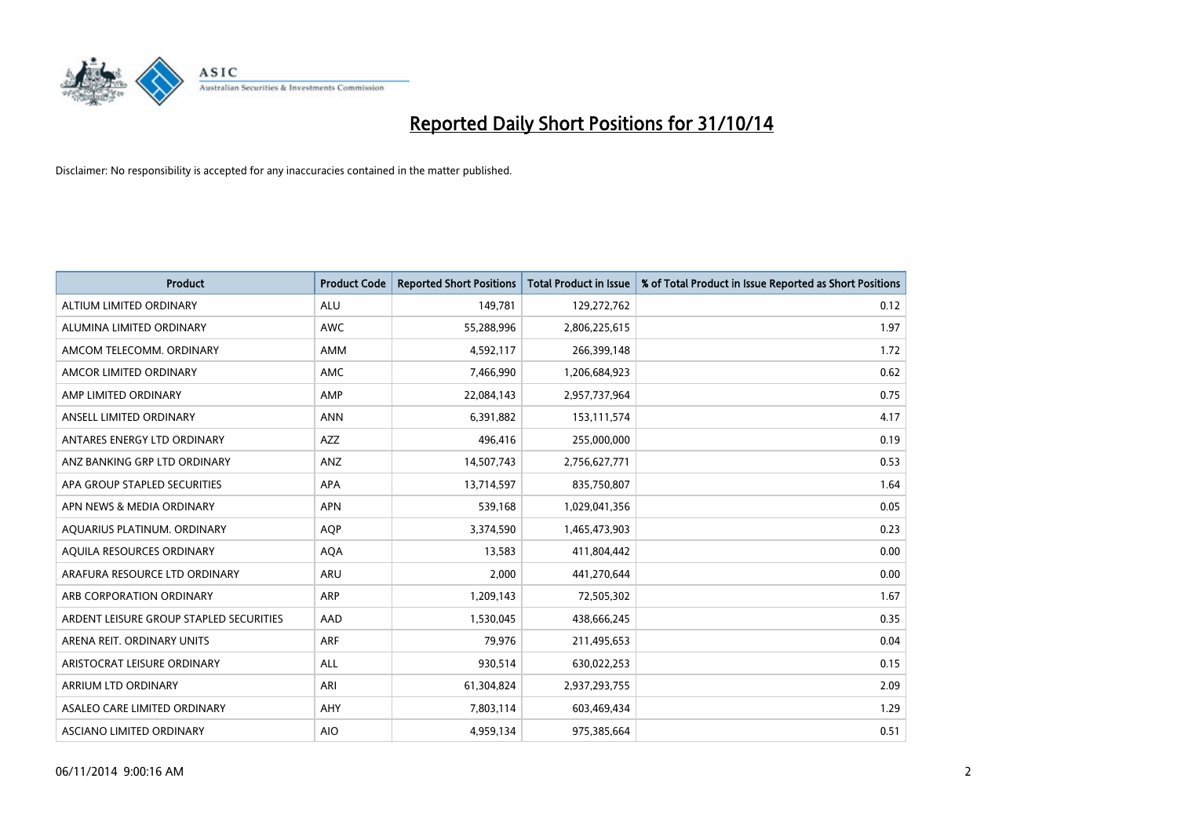

| <b>Product</b>                          | <b>Product Code</b> | <b>Reported Short Positions</b> | <b>Total Product in Issue</b> | % of Total Product in Issue Reported as Short Positions |
|-----------------------------------------|---------------------|---------------------------------|-------------------------------|---------------------------------------------------------|
| ALTIUM LIMITED ORDINARY                 | <b>ALU</b>          | 149,781                         | 129,272,762                   | 0.12                                                    |
| ALUMINA LIMITED ORDINARY                | AWC                 | 55,288,996                      | 2,806,225,615                 | 1.97                                                    |
| AMCOM TELECOMM, ORDINARY                | AMM                 | 4,592,117                       | 266,399,148                   | 1.72                                                    |
| AMCOR LIMITED ORDINARY                  | AMC                 | 7,466,990                       | 1,206,684,923                 | 0.62                                                    |
| AMP LIMITED ORDINARY                    | AMP                 | 22,084,143                      | 2,957,737,964                 | 0.75                                                    |
| ANSELL LIMITED ORDINARY                 | <b>ANN</b>          | 6,391,882                       | 153, 111, 574                 | 4.17                                                    |
| ANTARES ENERGY LTD ORDINARY             | AZZ                 | 496,416                         | 255,000,000                   | 0.19                                                    |
| ANZ BANKING GRP LTD ORDINARY            | ANZ                 | 14,507,743                      | 2,756,627,771                 | 0.53                                                    |
| APA GROUP STAPLED SECURITIES            | <b>APA</b>          | 13,714,597                      | 835,750,807                   | 1.64                                                    |
| APN NEWS & MEDIA ORDINARY               | <b>APN</b>          | 539,168                         | 1,029,041,356                 | 0.05                                                    |
| AQUARIUS PLATINUM. ORDINARY             | <b>AOP</b>          | 3,374,590                       | 1,465,473,903                 | 0.23                                                    |
| AQUILA RESOURCES ORDINARY               | <b>AQA</b>          | 13,583                          | 411,804,442                   | 0.00                                                    |
| ARAFURA RESOURCE LTD ORDINARY           | ARU                 | 2,000                           | 441,270,644                   | 0.00                                                    |
| ARB CORPORATION ORDINARY                | ARP                 | 1,209,143                       | 72,505,302                    | 1.67                                                    |
| ARDENT LEISURE GROUP STAPLED SECURITIES | AAD                 | 1,530,045                       | 438,666,245                   | 0.35                                                    |
| ARENA REIT. ORDINARY UNITS              | <b>ARF</b>          | 79,976                          | 211,495,653                   | 0.04                                                    |
| ARISTOCRAT LEISURE ORDINARY             | ALL                 | 930,514                         | 630,022,253                   | 0.15                                                    |
| ARRIUM LTD ORDINARY                     | ARI                 | 61,304,824                      | 2,937,293,755                 | 2.09                                                    |
| ASALEO CARE LIMITED ORDINARY            | AHY                 | 7,803,114                       | 603,469,434                   | 1.29                                                    |
| ASCIANO LIMITED ORDINARY                | <b>AIO</b>          | 4,959,134                       | 975,385,664                   | 0.51                                                    |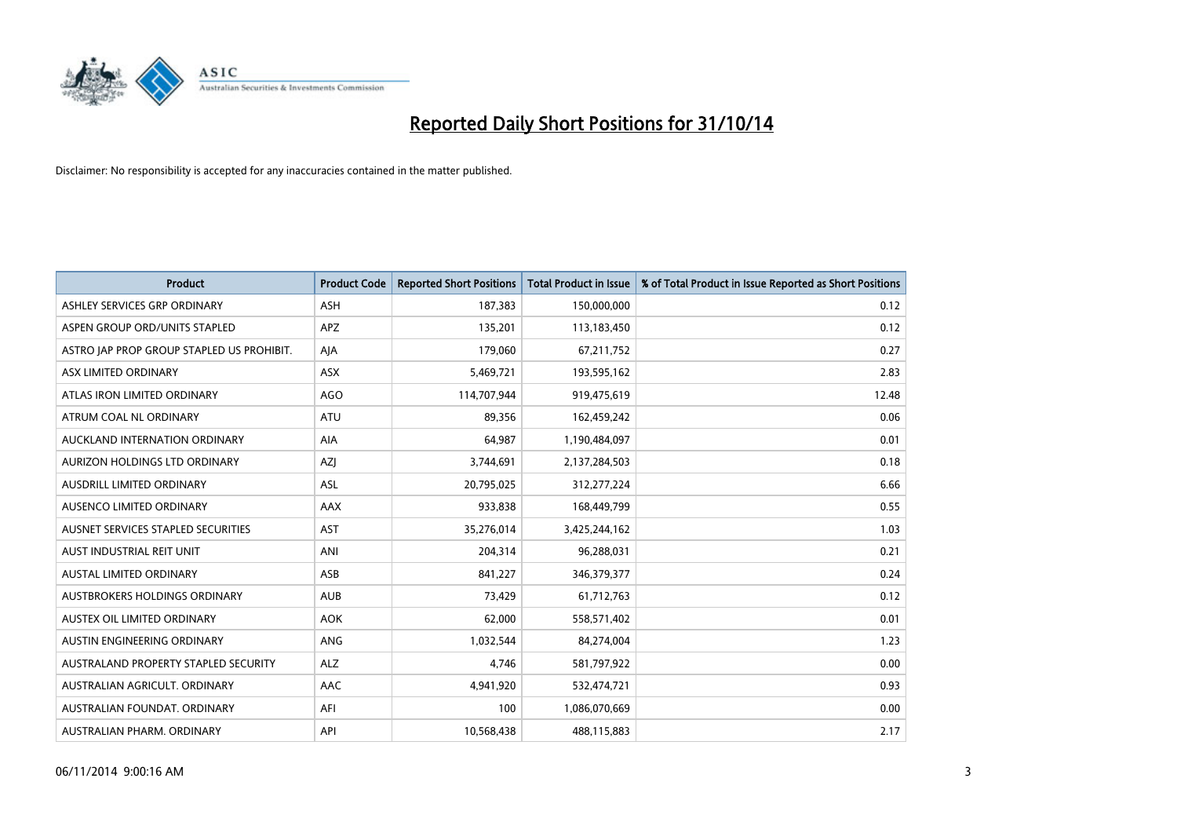

| <b>Product</b>                            | <b>Product Code</b> | <b>Reported Short Positions</b> | <b>Total Product in Issue</b> | % of Total Product in Issue Reported as Short Positions |
|-------------------------------------------|---------------------|---------------------------------|-------------------------------|---------------------------------------------------------|
| ASHLEY SERVICES GRP ORDINARY              | <b>ASH</b>          | 187,383                         | 150,000,000                   | 0.12                                                    |
| ASPEN GROUP ORD/UNITS STAPLED             | <b>APZ</b>          | 135,201                         | 113,183,450                   | 0.12                                                    |
| ASTRO JAP PROP GROUP STAPLED US PROHIBIT. | AJA                 | 179,060                         | 67,211,752                    | 0.27                                                    |
| ASX LIMITED ORDINARY                      | ASX                 | 5,469,721                       | 193,595,162                   | 2.83                                                    |
| ATLAS IRON LIMITED ORDINARY               | <b>AGO</b>          | 114,707,944                     | 919,475,619                   | 12.48                                                   |
| ATRUM COAL NL ORDINARY                    | <b>ATU</b>          | 89,356                          | 162,459,242                   | 0.06                                                    |
| AUCKLAND INTERNATION ORDINARY             | <b>AIA</b>          | 64.987                          | 1,190,484,097                 | 0.01                                                    |
| AURIZON HOLDINGS LTD ORDINARY             | AZJ                 | 3,744,691                       | 2,137,284,503                 | 0.18                                                    |
| AUSDRILL LIMITED ORDINARY                 | ASL                 | 20,795,025                      | 312,277,224                   | 6.66                                                    |
| AUSENCO LIMITED ORDINARY                  | AAX                 | 933,838                         | 168,449,799                   | 0.55                                                    |
| AUSNET SERVICES STAPLED SECURITIES        | AST                 | 35,276,014                      | 3,425,244,162                 | 1.03                                                    |
| AUST INDUSTRIAL REIT UNIT                 | ANI                 | 204,314                         | 96,288,031                    | 0.21                                                    |
| <b>AUSTAL LIMITED ORDINARY</b>            | ASB                 | 841,227                         | 346,379,377                   | 0.24                                                    |
| AUSTBROKERS HOLDINGS ORDINARY             | <b>AUB</b>          | 73,429                          | 61,712,763                    | 0.12                                                    |
| AUSTEX OIL LIMITED ORDINARY               | <b>AOK</b>          | 62,000                          | 558,571,402                   | 0.01                                                    |
| AUSTIN ENGINEERING ORDINARY               | ANG                 | 1,032,544                       | 84,274,004                    | 1.23                                                    |
| AUSTRALAND PROPERTY STAPLED SECURITY      | <b>ALZ</b>          | 4,746                           | 581,797,922                   | 0.00                                                    |
| AUSTRALIAN AGRICULT, ORDINARY             | AAC                 | 4,941,920                       | 532,474,721                   | 0.93                                                    |
| AUSTRALIAN FOUNDAT, ORDINARY              | AFI                 | 100                             | 1,086,070,669                 | 0.00                                                    |
| AUSTRALIAN PHARM. ORDINARY                | API                 | 10,568,438                      | 488,115,883                   | 2.17                                                    |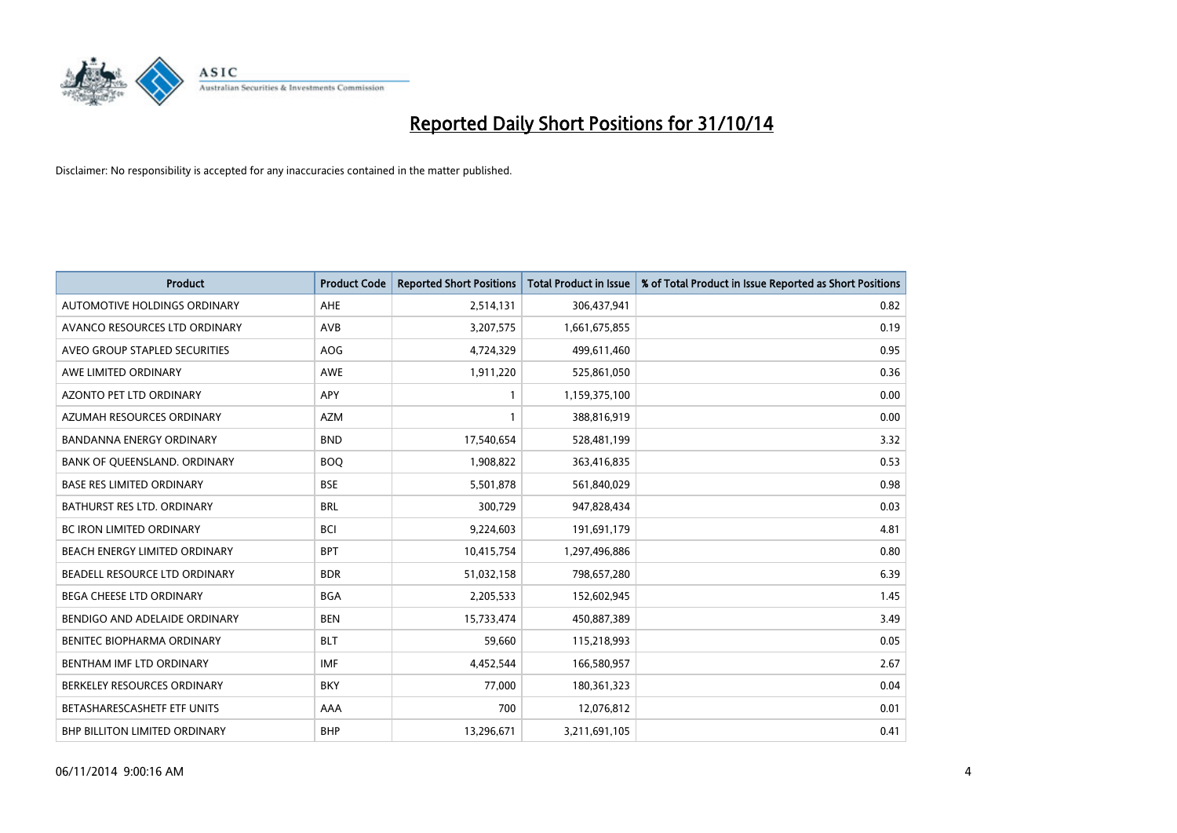

| <b>Product</b>                    | <b>Product Code</b> | <b>Reported Short Positions</b> | <b>Total Product in Issue</b> | % of Total Product in Issue Reported as Short Positions |
|-----------------------------------|---------------------|---------------------------------|-------------------------------|---------------------------------------------------------|
| AUTOMOTIVE HOLDINGS ORDINARY      | AHE                 | 2,514,131                       | 306,437,941                   | 0.82                                                    |
| AVANCO RESOURCES LTD ORDINARY     | AVB                 | 3,207,575                       | 1,661,675,855                 | 0.19                                                    |
| AVEO GROUP STAPLED SECURITIES     | <b>AOG</b>          | 4,724,329                       | 499,611,460                   | 0.95                                                    |
| AWE LIMITED ORDINARY              | <b>AWE</b>          | 1,911,220                       | 525,861,050                   | 0.36                                                    |
| <b>AZONTO PET LTD ORDINARY</b>    | <b>APY</b>          | $\mathbf{1}$                    | 1,159,375,100                 | 0.00                                                    |
| AZUMAH RESOURCES ORDINARY         | <b>AZM</b>          | $\mathbf{1}$                    | 388,816,919                   | 0.00                                                    |
| <b>BANDANNA ENERGY ORDINARY</b>   | <b>BND</b>          | 17,540,654                      | 528,481,199                   | 3.32                                                    |
| BANK OF QUEENSLAND. ORDINARY      | <b>BOQ</b>          | 1,908,822                       | 363,416,835                   | 0.53                                                    |
| <b>BASE RES LIMITED ORDINARY</b>  | <b>BSE</b>          | 5,501,878                       | 561,840,029                   | 0.98                                                    |
| <b>BATHURST RES LTD. ORDINARY</b> | <b>BRL</b>          | 300,729                         | 947,828,434                   | 0.03                                                    |
| BC IRON LIMITED ORDINARY          | <b>BCI</b>          | 9,224,603                       | 191,691,179                   | 4.81                                                    |
| BEACH ENERGY LIMITED ORDINARY     | <b>BPT</b>          | 10,415,754                      | 1,297,496,886                 | 0.80                                                    |
| BEADELL RESOURCE LTD ORDINARY     | <b>BDR</b>          | 51,032,158                      | 798,657,280                   | 6.39                                                    |
| BEGA CHEESE LTD ORDINARY          | <b>BGA</b>          | 2,205,533                       | 152,602,945                   | 1.45                                                    |
| BENDIGO AND ADELAIDE ORDINARY     | <b>BEN</b>          | 15,733,474                      | 450,887,389                   | 3.49                                                    |
| BENITEC BIOPHARMA ORDINARY        | <b>BLT</b>          | 59,660                          | 115,218,993                   | 0.05                                                    |
| BENTHAM IMF LTD ORDINARY          | <b>IMF</b>          | 4,452,544                       | 166,580,957                   | 2.67                                                    |
| BERKELEY RESOURCES ORDINARY       | <b>BKY</b>          | 77,000                          | 180,361,323                   | 0.04                                                    |
| BETASHARESCASHETF ETF UNITS       | AAA                 | 700                             | 12,076,812                    | 0.01                                                    |
| BHP BILLITON LIMITED ORDINARY     | <b>BHP</b>          | 13,296,671                      | 3,211,691,105                 | 0.41                                                    |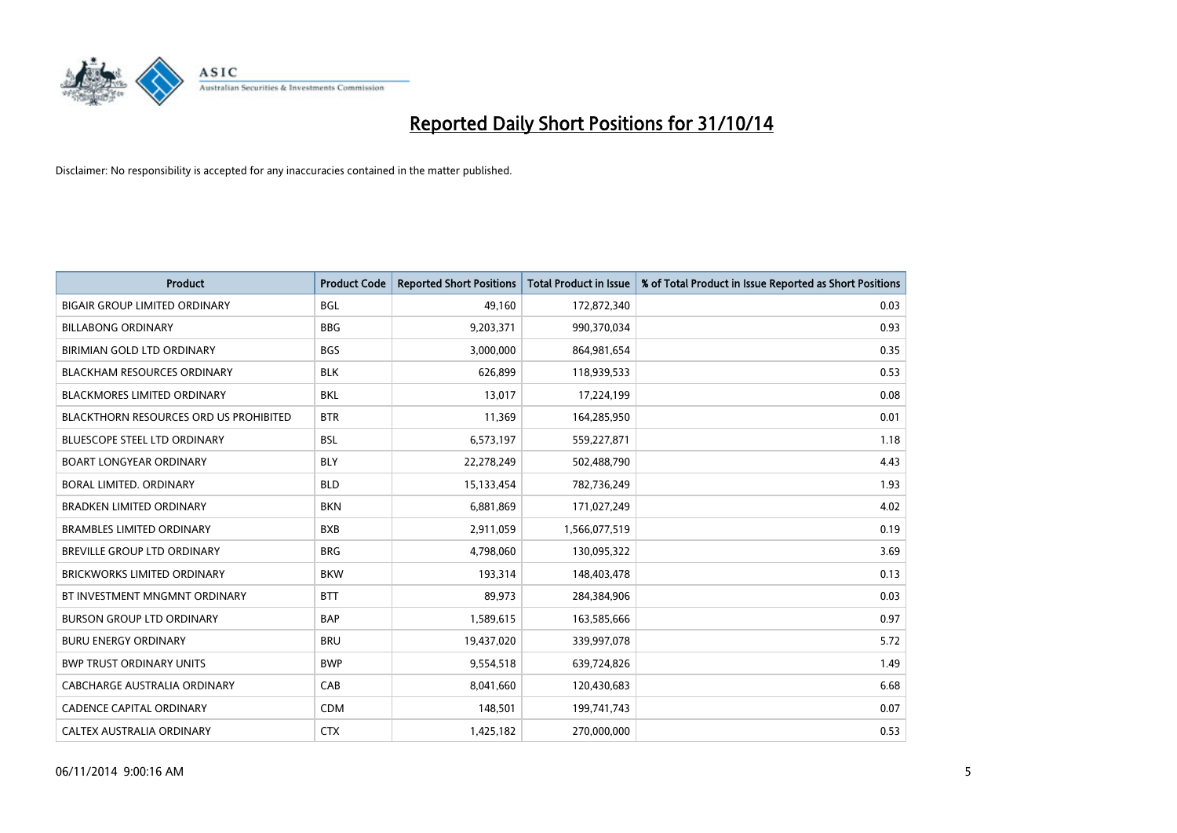

| <b>Product</b>                                | <b>Product Code</b> | <b>Reported Short Positions</b> | <b>Total Product in Issue</b> | % of Total Product in Issue Reported as Short Positions |
|-----------------------------------------------|---------------------|---------------------------------|-------------------------------|---------------------------------------------------------|
| <b>BIGAIR GROUP LIMITED ORDINARY</b>          | <b>BGL</b>          | 49,160                          | 172,872,340                   | 0.03                                                    |
| <b>BILLABONG ORDINARY</b>                     | <b>BBG</b>          | 9,203,371                       | 990,370,034                   | 0.93                                                    |
| BIRIMIAN GOLD LTD ORDINARY                    | <b>BGS</b>          | 3,000,000                       | 864,981,654                   | 0.35                                                    |
| <b>BLACKHAM RESOURCES ORDINARY</b>            | <b>BLK</b>          | 626,899                         | 118,939,533                   | 0.53                                                    |
| <b>BLACKMORES LIMITED ORDINARY</b>            | BKL                 | 13,017                          | 17,224,199                    | 0.08                                                    |
| <b>BLACKTHORN RESOURCES ORD US PROHIBITED</b> | <b>BTR</b>          | 11,369                          | 164,285,950                   | 0.01                                                    |
| <b>BLUESCOPE STEEL LTD ORDINARY</b>           | <b>BSL</b>          | 6,573,197                       | 559,227,871                   | 1.18                                                    |
| <b>BOART LONGYEAR ORDINARY</b>                | <b>BLY</b>          | 22,278,249                      | 502,488,790                   | 4.43                                                    |
| <b>BORAL LIMITED, ORDINARY</b>                | <b>BLD</b>          | 15,133,454                      | 782,736,249                   | 1.93                                                    |
| <b>BRADKEN LIMITED ORDINARY</b>               | <b>BKN</b>          | 6,881,869                       | 171,027,249                   | 4.02                                                    |
| <b>BRAMBLES LIMITED ORDINARY</b>              | <b>BXB</b>          | 2,911,059                       | 1,566,077,519                 | 0.19                                                    |
| BREVILLE GROUP LTD ORDINARY                   | <b>BRG</b>          | 4,798,060                       | 130,095,322                   | 3.69                                                    |
| <b>BRICKWORKS LIMITED ORDINARY</b>            | <b>BKW</b>          | 193,314                         | 148,403,478                   | 0.13                                                    |
| BT INVESTMENT MNGMNT ORDINARY                 | <b>BTT</b>          | 89,973                          | 284,384,906                   | 0.03                                                    |
| <b>BURSON GROUP LTD ORDINARY</b>              | <b>BAP</b>          | 1,589,615                       | 163,585,666                   | 0.97                                                    |
| <b>BURU ENERGY ORDINARY</b>                   | <b>BRU</b>          | 19,437,020                      | 339,997,078                   | 5.72                                                    |
| <b>BWP TRUST ORDINARY UNITS</b>               | <b>BWP</b>          | 9,554,518                       | 639,724,826                   | 1.49                                                    |
| CABCHARGE AUSTRALIA ORDINARY                  | CAB                 | 8,041,660                       | 120,430,683                   | 6.68                                                    |
| CADENCE CAPITAL ORDINARY                      | <b>CDM</b>          | 148,501                         | 199,741,743                   | 0.07                                                    |
| CALTEX AUSTRALIA ORDINARY                     | <b>CTX</b>          | 1,425,182                       | 270,000,000                   | 0.53                                                    |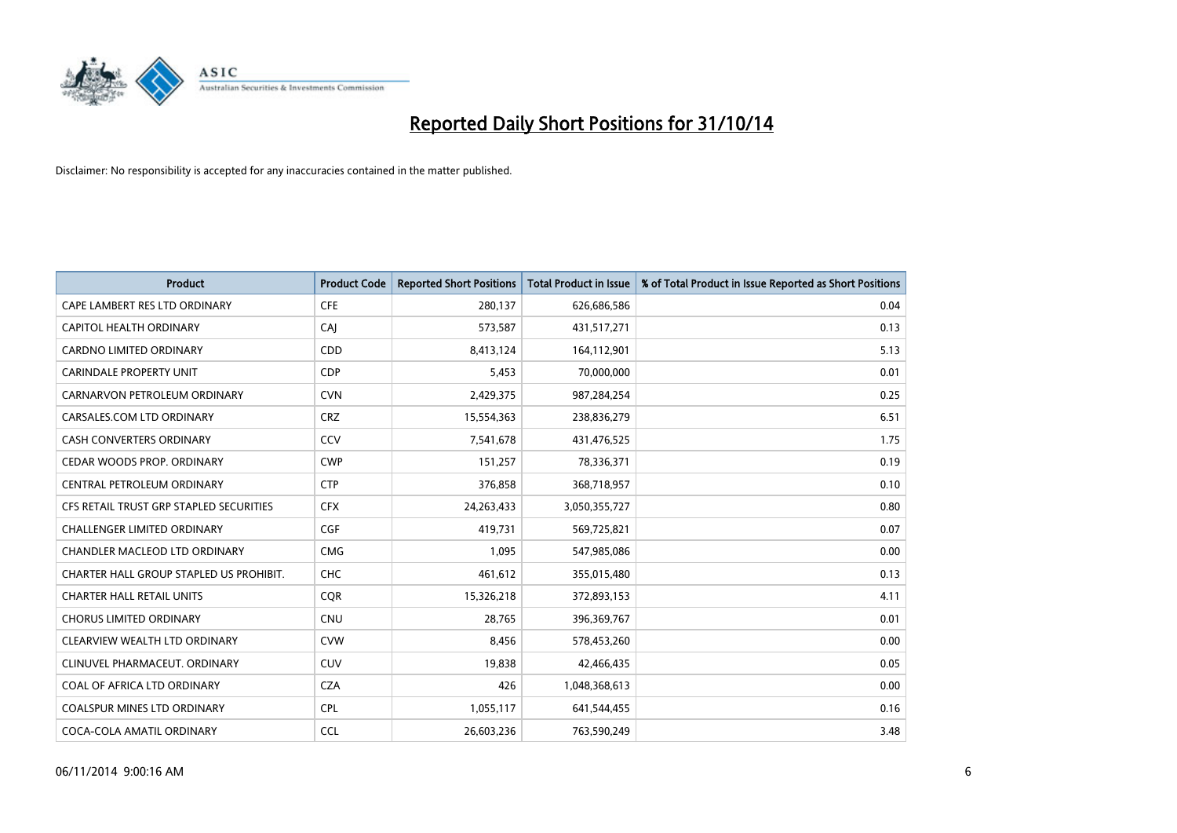

| <b>Product</b>                          | <b>Product Code</b> | <b>Reported Short Positions</b> | <b>Total Product in Issue</b> | % of Total Product in Issue Reported as Short Positions |
|-----------------------------------------|---------------------|---------------------------------|-------------------------------|---------------------------------------------------------|
| CAPE LAMBERT RES LTD ORDINARY           | <b>CFE</b>          | 280,137                         | 626,686,586                   | 0.04                                                    |
| CAPITOL HEALTH ORDINARY                 | CAI                 | 573,587                         | 431,517,271                   | 0.13                                                    |
| <b>CARDNO LIMITED ORDINARY</b>          | CDD                 | 8,413,124                       | 164,112,901                   | 5.13                                                    |
| CARINDALE PROPERTY UNIT                 | <b>CDP</b>          | 5,453                           | 70,000,000                    | 0.01                                                    |
| CARNARVON PETROLEUM ORDINARY            | <b>CVN</b>          | 2,429,375                       | 987,284,254                   | 0.25                                                    |
| CARSALES.COM LTD ORDINARY               | <b>CRZ</b>          | 15,554,363                      | 238,836,279                   | 6.51                                                    |
| CASH CONVERTERS ORDINARY                | CCV                 | 7,541,678                       | 431,476,525                   | 1.75                                                    |
| CEDAR WOODS PROP. ORDINARY              | <b>CWP</b>          | 151,257                         | 78,336,371                    | 0.19                                                    |
| CENTRAL PETROLEUM ORDINARY              | <b>CTP</b>          | 376,858                         | 368,718,957                   | 0.10                                                    |
| CFS RETAIL TRUST GRP STAPLED SECURITIES | <b>CFX</b>          | 24,263,433                      | 3,050,355,727                 | 0.80                                                    |
| CHALLENGER LIMITED ORDINARY             | <b>CGF</b>          | 419,731                         | 569,725,821                   | 0.07                                                    |
| CHANDLER MACLEOD LTD ORDINARY           | <b>CMG</b>          | 1,095                           | 547,985,086                   | 0.00                                                    |
| CHARTER HALL GROUP STAPLED US PROHIBIT. | <b>CHC</b>          | 461,612                         | 355,015,480                   | 0.13                                                    |
| <b>CHARTER HALL RETAIL UNITS</b>        | <b>COR</b>          | 15,326,218                      | 372,893,153                   | 4.11                                                    |
| <b>CHORUS LIMITED ORDINARY</b>          | CNU                 | 28,765                          | 396,369,767                   | 0.01                                                    |
| CLEARVIEW WEALTH LTD ORDINARY           | <b>CVW</b>          | 8,456                           | 578,453,260                   | 0.00                                                    |
| CLINUVEL PHARMACEUT. ORDINARY           | <b>CUV</b>          | 19,838                          | 42,466,435                    | 0.05                                                    |
| COAL OF AFRICA LTD ORDINARY             | <b>CZA</b>          | 426                             | 1,048,368,613                 | 0.00                                                    |
| <b>COALSPUR MINES LTD ORDINARY</b>      | <b>CPL</b>          | 1,055,117                       | 641,544,455                   | 0.16                                                    |
| COCA-COLA AMATIL ORDINARY               | <b>CCL</b>          | 26,603,236                      | 763,590,249                   | 3.48                                                    |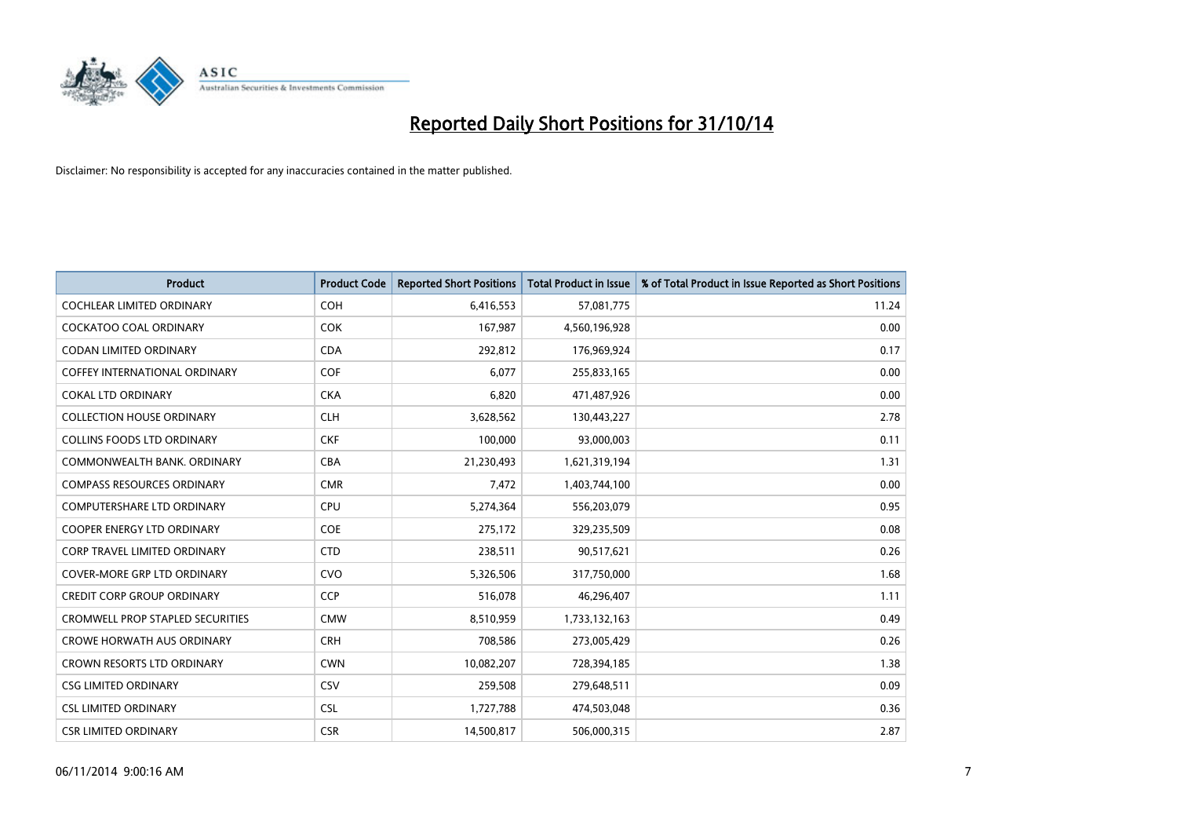

| <b>Product</b>                          | <b>Product Code</b> | <b>Reported Short Positions</b> | <b>Total Product in Issue</b> | % of Total Product in Issue Reported as Short Positions |
|-----------------------------------------|---------------------|---------------------------------|-------------------------------|---------------------------------------------------------|
| <b>COCHLEAR LIMITED ORDINARY</b>        | <b>COH</b>          | 6,416,553                       | 57,081,775                    | 11.24                                                   |
| <b>COCKATOO COAL ORDINARY</b>           | <b>COK</b>          | 167,987                         | 4,560,196,928                 | 0.00                                                    |
| <b>CODAN LIMITED ORDINARY</b>           | <b>CDA</b>          | 292,812                         | 176,969,924                   | 0.17                                                    |
| <b>COFFEY INTERNATIONAL ORDINARY</b>    | <b>COF</b>          | 6,077                           | 255,833,165                   | 0.00                                                    |
| <b>COKAL LTD ORDINARY</b>               | <b>CKA</b>          | 6,820                           | 471,487,926                   | 0.00                                                    |
| <b>COLLECTION HOUSE ORDINARY</b>        | <b>CLH</b>          | 3,628,562                       | 130,443,227                   | 2.78                                                    |
| COLLINS FOODS LTD ORDINARY              | <b>CKF</b>          | 100,000                         | 93,000,003                    | 0.11                                                    |
| COMMONWEALTH BANK, ORDINARY             | <b>CBA</b>          | 21,230,493                      | 1,621,319,194                 | 1.31                                                    |
| <b>COMPASS RESOURCES ORDINARY</b>       | <b>CMR</b>          | 7,472                           | 1,403,744,100                 | 0.00                                                    |
| <b>COMPUTERSHARE LTD ORDINARY</b>       | <b>CPU</b>          | 5,274,364                       | 556,203,079                   | 0.95                                                    |
| COOPER ENERGY LTD ORDINARY              | <b>COE</b>          | 275,172                         | 329,235,509                   | 0.08                                                    |
| <b>CORP TRAVEL LIMITED ORDINARY</b>     | <b>CTD</b>          | 238,511                         | 90,517,621                    | 0.26                                                    |
| COVER-MORE GRP LTD ORDINARY             | <b>CVO</b>          | 5,326,506                       | 317,750,000                   | 1.68                                                    |
| <b>CREDIT CORP GROUP ORDINARY</b>       | <b>CCP</b>          | 516,078                         | 46,296,407                    | 1.11                                                    |
| <b>CROMWELL PROP STAPLED SECURITIES</b> | <b>CMW</b>          | 8,510,959                       | 1,733,132,163                 | 0.49                                                    |
| <b>CROWE HORWATH AUS ORDINARY</b>       | <b>CRH</b>          | 708,586                         | 273,005,429                   | 0.26                                                    |
| CROWN RESORTS LTD ORDINARY              | <b>CWN</b>          | 10,082,207                      | 728,394,185                   | 1.38                                                    |
| <b>CSG LIMITED ORDINARY</b>             | CSV                 | 259,508                         | 279,648,511                   | 0.09                                                    |
| <b>CSL LIMITED ORDINARY</b>             | <b>CSL</b>          | 1,727,788                       | 474,503,048                   | 0.36                                                    |
| <b>CSR LIMITED ORDINARY</b>             | <b>CSR</b>          | 14,500,817                      | 506,000,315                   | 2.87                                                    |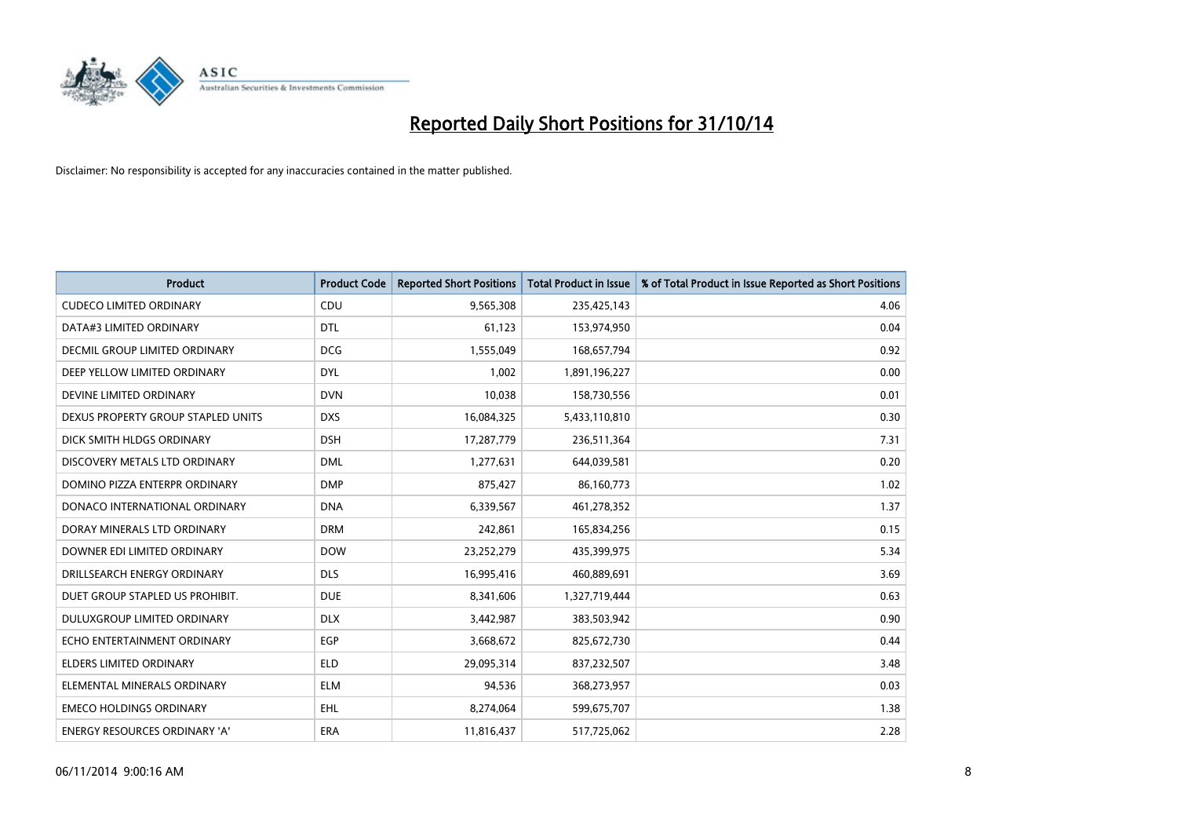

| <b>Product</b>                       | <b>Product Code</b> | <b>Reported Short Positions</b> | <b>Total Product in Issue</b> | % of Total Product in Issue Reported as Short Positions |
|--------------------------------------|---------------------|---------------------------------|-------------------------------|---------------------------------------------------------|
| <b>CUDECO LIMITED ORDINARY</b>       | CDU                 | 9,565,308                       | 235,425,143                   | 4.06                                                    |
| DATA#3 LIMITED ORDINARY              | <b>DTL</b>          | 61,123                          | 153,974,950                   | 0.04                                                    |
| <b>DECMIL GROUP LIMITED ORDINARY</b> | <b>DCG</b>          | 1,555,049                       | 168,657,794                   | 0.92                                                    |
| DEEP YELLOW LIMITED ORDINARY         | <b>DYL</b>          | 1,002                           | 1,891,196,227                 | 0.00                                                    |
| DEVINE LIMITED ORDINARY              | <b>DVN</b>          | 10,038                          | 158,730,556                   | 0.01                                                    |
| DEXUS PROPERTY GROUP STAPLED UNITS   | <b>DXS</b>          | 16,084,325                      | 5,433,110,810                 | 0.30                                                    |
| DICK SMITH HLDGS ORDINARY            | <b>DSH</b>          | 17,287,779                      | 236,511,364                   | 7.31                                                    |
| DISCOVERY METALS LTD ORDINARY        | <b>DML</b>          | 1,277,631                       | 644,039,581                   | 0.20                                                    |
| DOMINO PIZZA ENTERPR ORDINARY        | <b>DMP</b>          | 875,427                         | 86,160,773                    | 1.02                                                    |
| DONACO INTERNATIONAL ORDINARY        | <b>DNA</b>          | 6,339,567                       | 461,278,352                   | 1.37                                                    |
| DORAY MINERALS LTD ORDINARY          | <b>DRM</b>          | 242,861                         | 165,834,256                   | 0.15                                                    |
| DOWNER EDI LIMITED ORDINARY          | <b>DOW</b>          | 23,252,279                      | 435,399,975                   | 5.34                                                    |
| DRILLSEARCH ENERGY ORDINARY          | <b>DLS</b>          | 16,995,416                      | 460,889,691                   | 3.69                                                    |
| DUET GROUP STAPLED US PROHIBIT.      | <b>DUE</b>          | 8,341,606                       | 1,327,719,444                 | 0.63                                                    |
| DULUXGROUP LIMITED ORDINARY          | <b>DLX</b>          | 3,442,987                       | 383,503,942                   | 0.90                                                    |
| ECHO ENTERTAINMENT ORDINARY          | <b>EGP</b>          | 3,668,672                       | 825,672,730                   | 0.44                                                    |
| ELDERS LIMITED ORDINARY              | <b>ELD</b>          | 29,095,314                      | 837,232,507                   | 3.48                                                    |
| ELEMENTAL MINERALS ORDINARY          | ELM                 | 94,536                          | 368,273,957                   | 0.03                                                    |
| <b>EMECO HOLDINGS ORDINARY</b>       | <b>EHL</b>          | 8,274,064                       | 599,675,707                   | 1.38                                                    |
| ENERGY RESOURCES ORDINARY 'A'        | ERA                 | 11,816,437                      | 517,725,062                   | 2.28                                                    |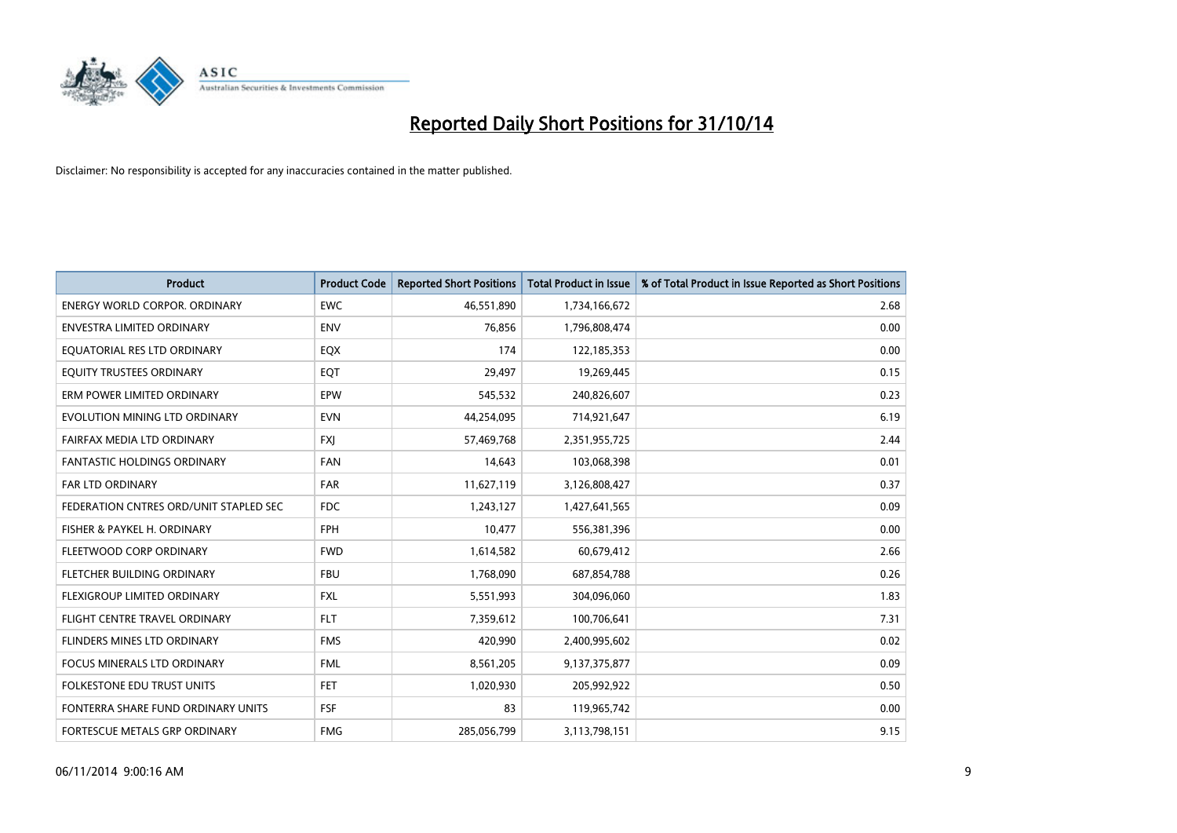

| <b>Product</b>                         | <b>Product Code</b> | <b>Reported Short Positions</b> | <b>Total Product in Issue</b> | % of Total Product in Issue Reported as Short Positions |
|----------------------------------------|---------------------|---------------------------------|-------------------------------|---------------------------------------------------------|
| <b>ENERGY WORLD CORPOR, ORDINARY</b>   | <b>EWC</b>          | 46,551,890                      | 1,734,166,672                 | 2.68                                                    |
| ENVESTRA LIMITED ORDINARY              | <b>ENV</b>          | 76,856                          | 1,796,808,474                 | 0.00                                                    |
| EQUATORIAL RES LTD ORDINARY            | EQX                 | 174                             | 122,185,353                   | 0.00                                                    |
| EQUITY TRUSTEES ORDINARY               | EQT                 | 29,497                          | 19,269,445                    | 0.15                                                    |
| ERM POWER LIMITED ORDINARY             | EPW                 | 545,532                         | 240,826,607                   | 0.23                                                    |
| EVOLUTION MINING LTD ORDINARY          | <b>EVN</b>          | 44,254,095                      | 714,921,647                   | 6.19                                                    |
| FAIRFAX MEDIA LTD ORDINARY             | <b>FXJ</b>          | 57,469,768                      | 2,351,955,725                 | 2.44                                                    |
| <b>FANTASTIC HOLDINGS ORDINARY</b>     | <b>FAN</b>          | 14,643                          | 103,068,398                   | 0.01                                                    |
| FAR LTD ORDINARY                       | FAR                 | 11,627,119                      | 3,126,808,427                 | 0.37                                                    |
| FEDERATION CNTRES ORD/UNIT STAPLED SEC | FDC                 | 1,243,127                       | 1,427,641,565                 | 0.09                                                    |
| FISHER & PAYKEL H. ORDINARY            | <b>FPH</b>          | 10,477                          | 556,381,396                   | 0.00                                                    |
| FLEETWOOD CORP ORDINARY                | <b>FWD</b>          | 1,614,582                       | 60,679,412                    | 2.66                                                    |
| FLETCHER BUILDING ORDINARY             | <b>FBU</b>          | 1,768,090                       | 687,854,788                   | 0.26                                                    |
| <b>FLEXIGROUP LIMITED ORDINARY</b>     | <b>FXL</b>          | 5,551,993                       | 304,096,060                   | 1.83                                                    |
| FLIGHT CENTRE TRAVEL ORDINARY          | <b>FLT</b>          | 7,359,612                       | 100,706,641                   | 7.31                                                    |
| FLINDERS MINES LTD ORDINARY            | <b>FMS</b>          | 420,990                         | 2,400,995,602                 | 0.02                                                    |
| <b>FOCUS MINERALS LTD ORDINARY</b>     | <b>FML</b>          | 8,561,205                       | 9,137,375,877                 | 0.09                                                    |
| FOLKESTONE EDU TRUST UNITS             | <b>FET</b>          | 1,020,930                       | 205,992,922                   | 0.50                                                    |
| FONTERRA SHARE FUND ORDINARY UNITS     | <b>FSF</b>          | 83                              | 119,965,742                   | 0.00                                                    |
| FORTESCUE METALS GRP ORDINARY          | <b>FMG</b>          | 285,056,799                     | 3,113,798,151                 | 9.15                                                    |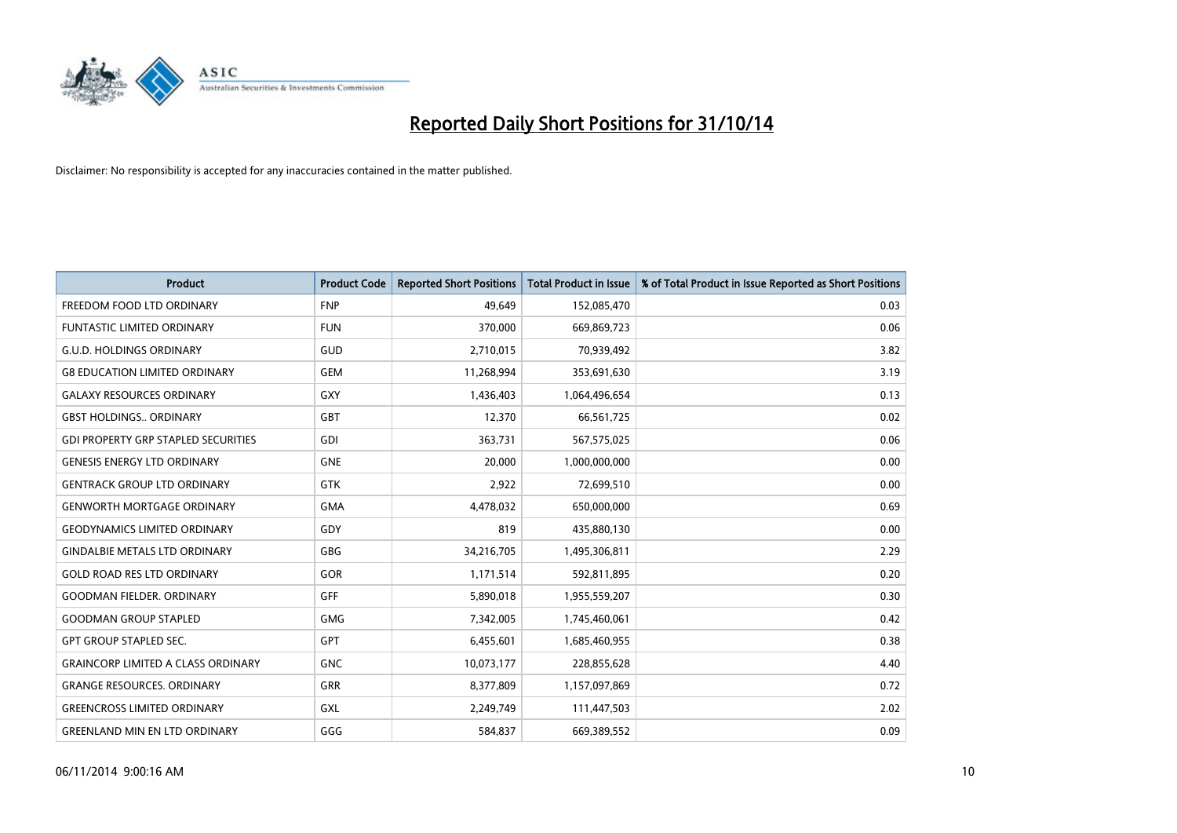

| <b>Product</b>                             | <b>Product Code</b> | <b>Reported Short Positions</b> | <b>Total Product in Issue</b> | % of Total Product in Issue Reported as Short Positions |
|--------------------------------------------|---------------------|---------------------------------|-------------------------------|---------------------------------------------------------|
| FREEDOM FOOD LTD ORDINARY                  | <b>FNP</b>          | 49.649                          | 152,085,470                   | 0.03                                                    |
| FUNTASTIC LIMITED ORDINARY                 | <b>FUN</b>          | 370,000                         | 669,869,723                   | 0.06                                                    |
| <b>G.U.D. HOLDINGS ORDINARY</b>            | <b>GUD</b>          | 2,710,015                       | 70,939,492                    | 3.82                                                    |
| <b>G8 EDUCATION LIMITED ORDINARY</b>       | <b>GEM</b>          | 11,268,994                      | 353,691,630                   | 3.19                                                    |
| <b>GALAXY RESOURCES ORDINARY</b>           | <b>GXY</b>          | 1,436,403                       | 1,064,496,654                 | 0.13                                                    |
| <b>GBST HOLDINGS., ORDINARY</b>            | <b>GBT</b>          | 12,370                          | 66,561,725                    | 0.02                                                    |
| <b>GDI PROPERTY GRP STAPLED SECURITIES</b> | <b>GDI</b>          | 363,731                         | 567,575,025                   | 0.06                                                    |
| <b>GENESIS ENERGY LTD ORDINARY</b>         | <b>GNE</b>          | 20,000                          | 1,000,000,000                 | 0.00                                                    |
| <b>GENTRACK GROUP LTD ORDINARY</b>         | <b>GTK</b>          | 2,922                           | 72,699,510                    | 0.00                                                    |
| <b>GENWORTH MORTGAGE ORDINARY</b>          | <b>GMA</b>          | 4,478,032                       | 650,000,000                   | 0.69                                                    |
| <b>GEODYNAMICS LIMITED ORDINARY</b>        | GDY                 | 819                             | 435,880,130                   | 0.00                                                    |
| <b>GINDALBIE METALS LTD ORDINARY</b>       | GBG                 | 34,216,705                      | 1,495,306,811                 | 2.29                                                    |
| <b>GOLD ROAD RES LTD ORDINARY</b>          | GOR                 | 1,171,514                       | 592,811,895                   | 0.20                                                    |
| <b>GOODMAN FIELDER, ORDINARY</b>           | GFF                 | 5,890,018                       | 1,955,559,207                 | 0.30                                                    |
| <b>GOODMAN GROUP STAPLED</b>               | <b>GMG</b>          | 7,342,005                       | 1,745,460,061                 | 0.42                                                    |
| <b>GPT GROUP STAPLED SEC.</b>              | GPT                 | 6,455,601                       | 1,685,460,955                 | 0.38                                                    |
| <b>GRAINCORP LIMITED A CLASS ORDINARY</b>  | <b>GNC</b>          | 10,073,177                      | 228,855,628                   | 4.40                                                    |
| <b>GRANGE RESOURCES. ORDINARY</b>          | <b>GRR</b>          | 8,377,809                       | 1,157,097,869                 | 0.72                                                    |
| <b>GREENCROSS LIMITED ORDINARY</b>         | <b>GXL</b>          | 2,249,749                       | 111,447,503                   | 2.02                                                    |
| <b>GREENLAND MIN EN LTD ORDINARY</b>       | GGG                 | 584,837                         | 669,389,552                   | 0.09                                                    |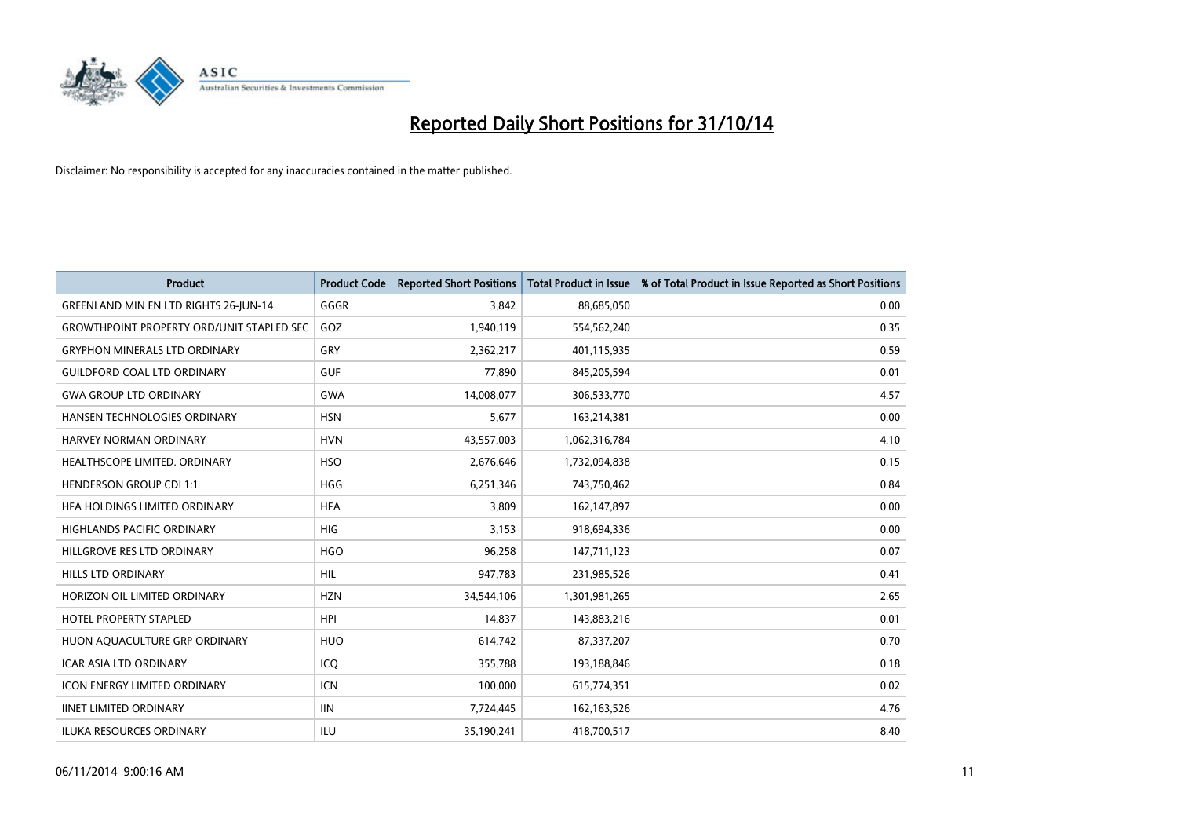

| <b>Product</b>                                   | <b>Product Code</b> | <b>Reported Short Positions</b> | <b>Total Product in Issue</b> | % of Total Product in Issue Reported as Short Positions |
|--------------------------------------------------|---------------------|---------------------------------|-------------------------------|---------------------------------------------------------|
| GREENLAND MIN EN LTD RIGHTS 26-JUN-14            | GGGR                | 3.842                           | 88,685,050                    | 0.00                                                    |
| <b>GROWTHPOINT PROPERTY ORD/UNIT STAPLED SEC</b> | GOZ                 | 1,940,119                       | 554,562,240                   | 0.35                                                    |
| <b>GRYPHON MINERALS LTD ORDINARY</b>             | GRY                 | 2,362,217                       | 401,115,935                   | 0.59                                                    |
| <b>GUILDFORD COAL LTD ORDINARY</b>               | <b>GUF</b>          | 77,890                          | 845,205,594                   | 0.01                                                    |
| <b>GWA GROUP LTD ORDINARY</b>                    | <b>GWA</b>          | 14,008,077                      | 306,533,770                   | 4.57                                                    |
| HANSEN TECHNOLOGIES ORDINARY                     | <b>HSN</b>          | 5,677                           | 163,214,381                   | 0.00                                                    |
| <b>HARVEY NORMAN ORDINARY</b>                    | <b>HVN</b>          | 43,557,003                      | 1,062,316,784                 | 4.10                                                    |
| HEALTHSCOPE LIMITED. ORDINARY                    | <b>HSO</b>          | 2,676,646                       | 1,732,094,838                 | 0.15                                                    |
| <b>HENDERSON GROUP CDI 1:1</b>                   | <b>HGG</b>          | 6,251,346                       | 743,750,462                   | 0.84                                                    |
| HFA HOLDINGS LIMITED ORDINARY                    | <b>HFA</b>          | 3,809                           | 162,147,897                   | 0.00                                                    |
| HIGHLANDS PACIFIC ORDINARY                       | <b>HIG</b>          | 3,153                           | 918,694,336                   | 0.00                                                    |
| HILLGROVE RES LTD ORDINARY                       | <b>HGO</b>          | 96,258                          | 147,711,123                   | 0.07                                                    |
| <b>HILLS LTD ORDINARY</b>                        | <b>HIL</b>          | 947,783                         | 231,985,526                   | 0.41                                                    |
| HORIZON OIL LIMITED ORDINARY                     | <b>HZN</b>          | 34,544,106                      | 1,301,981,265                 | 2.65                                                    |
| <b>HOTEL PROPERTY STAPLED</b>                    | <b>HPI</b>          | 14,837                          | 143,883,216                   | 0.01                                                    |
| HUON AQUACULTURE GRP ORDINARY                    | <b>HUO</b>          | 614,742                         | 87,337,207                    | 0.70                                                    |
| ICAR ASIA LTD ORDINARY                           | ICQ                 | 355,788                         | 193,188,846                   | 0.18                                                    |
| <b>ICON ENERGY LIMITED ORDINARY</b>              | <b>ICN</b>          | 100,000                         | 615,774,351                   | 0.02                                                    |
| <b>IINET LIMITED ORDINARY</b>                    | <b>IIN</b>          | 7,724,445                       | 162, 163, 526                 | 4.76                                                    |
| ILUKA RESOURCES ORDINARY                         | ILU                 | 35,190,241                      | 418,700,517                   | 8.40                                                    |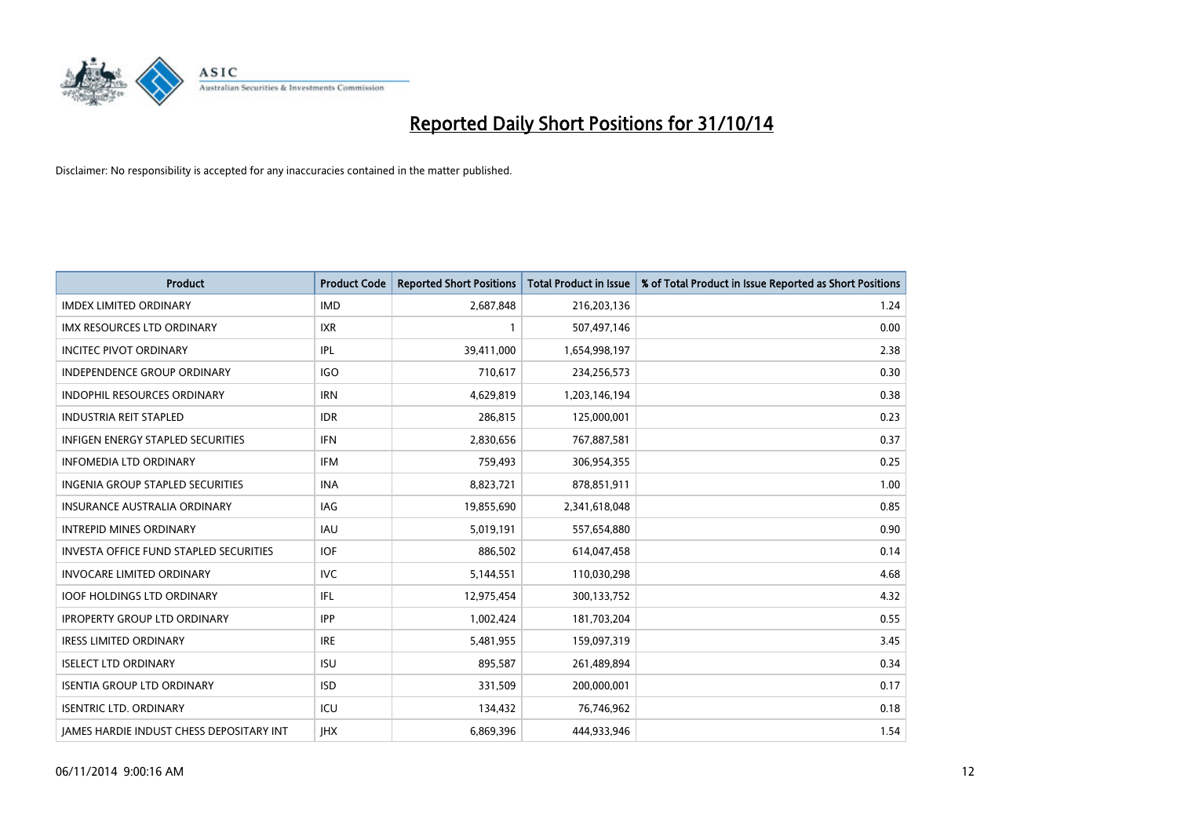

| <b>Product</b>                                  | <b>Product Code</b> | <b>Reported Short Positions</b> | <b>Total Product in Issue</b> | % of Total Product in Issue Reported as Short Positions |
|-------------------------------------------------|---------------------|---------------------------------|-------------------------------|---------------------------------------------------------|
| <b>IMDEX LIMITED ORDINARY</b>                   | <b>IMD</b>          | 2,687,848                       | 216,203,136                   | 1.24                                                    |
| <b>IMX RESOURCES LTD ORDINARY</b>               | IXR                 |                                 | 507,497,146                   | 0.00                                                    |
| <b>INCITEC PIVOT ORDINARY</b>                   | IPL                 | 39,411,000                      | 1,654,998,197                 | 2.38                                                    |
| INDEPENDENCE GROUP ORDINARY                     | <b>IGO</b>          | 710,617                         | 234,256,573                   | 0.30                                                    |
| <b>INDOPHIL RESOURCES ORDINARY</b>              | <b>IRN</b>          | 4,629,819                       | 1,203,146,194                 | 0.38                                                    |
| <b>INDUSTRIA REIT STAPLED</b>                   | <b>IDR</b>          | 286,815                         | 125,000,001                   | 0.23                                                    |
| INFIGEN ENERGY STAPLED SECURITIES               | <b>IFN</b>          | 2,830,656                       | 767,887,581                   | 0.37                                                    |
| <b>INFOMEDIA LTD ORDINARY</b>                   | <b>IFM</b>          | 759,493                         | 306,954,355                   | 0.25                                                    |
| <b>INGENIA GROUP STAPLED SECURITIES</b>         | <b>INA</b>          | 8,823,721                       | 878,851,911                   | 1.00                                                    |
| <b>INSURANCE AUSTRALIA ORDINARY</b>             | <b>IAG</b>          | 19,855,690                      | 2,341,618,048                 | 0.85                                                    |
| <b>INTREPID MINES ORDINARY</b>                  | <b>IAU</b>          | 5,019,191                       | 557,654,880                   | 0.90                                                    |
| <b>INVESTA OFFICE FUND STAPLED SECURITIES</b>   | <b>IOF</b>          | 886,502                         | 614,047,458                   | 0.14                                                    |
| <b>INVOCARE LIMITED ORDINARY</b>                | <b>IVC</b>          | 5,144,551                       | 110,030,298                   | 4.68                                                    |
| <b>IOOF HOLDINGS LTD ORDINARY</b>               | IFL                 | 12,975,454                      | 300,133,752                   | 4.32                                                    |
| <b>IPROPERTY GROUP LTD ORDINARY</b>             | <b>IPP</b>          | 1,002,424                       | 181,703,204                   | 0.55                                                    |
| <b>IRESS LIMITED ORDINARY</b>                   | IRE                 | 5,481,955                       | 159,097,319                   | 3.45                                                    |
| <b>ISELECT LTD ORDINARY</b>                     | <b>ISU</b>          | 895,587                         | 261,489,894                   | 0.34                                                    |
| <b>ISENTIA GROUP LTD ORDINARY</b>               | <b>ISD</b>          | 331,509                         | 200,000,001                   | 0.17                                                    |
| <b>ISENTRIC LTD. ORDINARY</b>                   | ICU                 | 134,432                         | 76,746,962                    | 0.18                                                    |
| <b>JAMES HARDIE INDUST CHESS DEPOSITARY INT</b> | <b>IHX</b>          | 6,869,396                       | 444,933,946                   | 1.54                                                    |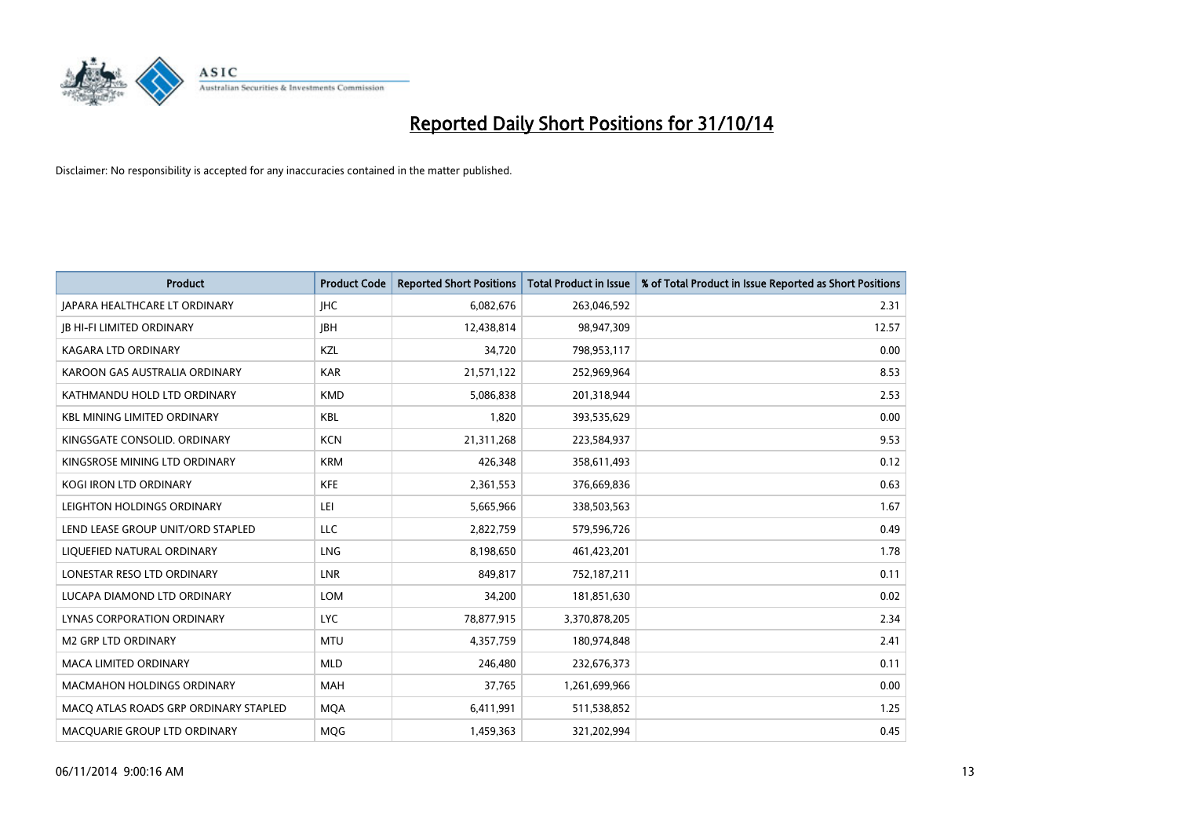

| <b>Product</b>                        | <b>Product Code</b> | <b>Reported Short Positions</b> | <b>Total Product in Issue</b> | % of Total Product in Issue Reported as Short Positions |
|---------------------------------------|---------------------|---------------------------------|-------------------------------|---------------------------------------------------------|
| JAPARA HEALTHCARE LT ORDINARY         | <b>IHC</b>          | 6,082,676                       | 263,046,592                   | 2.31                                                    |
| <b>JB HI-FI LIMITED ORDINARY</b>      | <b>IBH</b>          | 12,438,814                      | 98,947,309                    | 12.57                                                   |
| <b>KAGARA LTD ORDINARY</b>            | <b>KZL</b>          | 34,720                          | 798,953,117                   | 0.00                                                    |
| KAROON GAS AUSTRALIA ORDINARY         | <b>KAR</b>          | 21,571,122                      | 252,969,964                   | 8.53                                                    |
| KATHMANDU HOLD LTD ORDINARY           | <b>KMD</b>          | 5,086,838                       | 201,318,944                   | 2.53                                                    |
| <b>KBL MINING LIMITED ORDINARY</b>    | KBL                 | 1,820                           | 393,535,629                   | 0.00                                                    |
| KINGSGATE CONSOLID. ORDINARY          | <b>KCN</b>          | 21,311,268                      | 223,584,937                   | 9.53                                                    |
| KINGSROSE MINING LTD ORDINARY         | <b>KRM</b>          | 426,348                         | 358,611,493                   | 0.12                                                    |
| KOGI IRON LTD ORDINARY                | <b>KFE</b>          | 2,361,553                       | 376,669,836                   | 0.63                                                    |
| LEIGHTON HOLDINGS ORDINARY            | LEI                 | 5,665,966                       | 338,503,563                   | 1.67                                                    |
| LEND LEASE GROUP UNIT/ORD STAPLED     | <b>LLC</b>          | 2,822,759                       | 579,596,726                   | 0.49                                                    |
| LIQUEFIED NATURAL ORDINARY            | LNG                 | 8,198,650                       | 461,423,201                   | 1.78                                                    |
| LONESTAR RESO LTD ORDINARY            | <b>LNR</b>          | 849,817                         | 752,187,211                   | 0.11                                                    |
| LUCAPA DIAMOND LTD ORDINARY           | <b>LOM</b>          | 34,200                          | 181,851,630                   | 0.02                                                    |
| LYNAS CORPORATION ORDINARY            | <b>LYC</b>          | 78,877,915                      | 3,370,878,205                 | 2.34                                                    |
| <b>M2 GRP LTD ORDINARY</b>            | <b>MTU</b>          | 4,357,759                       | 180,974,848                   | 2.41                                                    |
| <b>MACA LIMITED ORDINARY</b>          | <b>MLD</b>          | 246,480                         | 232,676,373                   | 0.11                                                    |
| <b>MACMAHON HOLDINGS ORDINARY</b>     | <b>MAH</b>          | 37,765                          | 1,261,699,966                 | 0.00                                                    |
| MACO ATLAS ROADS GRP ORDINARY STAPLED | <b>MOA</b>          | 6,411,991                       | 511,538,852                   | 1.25                                                    |
| MACQUARIE GROUP LTD ORDINARY          | MQG                 | 1,459,363                       | 321,202,994                   | 0.45                                                    |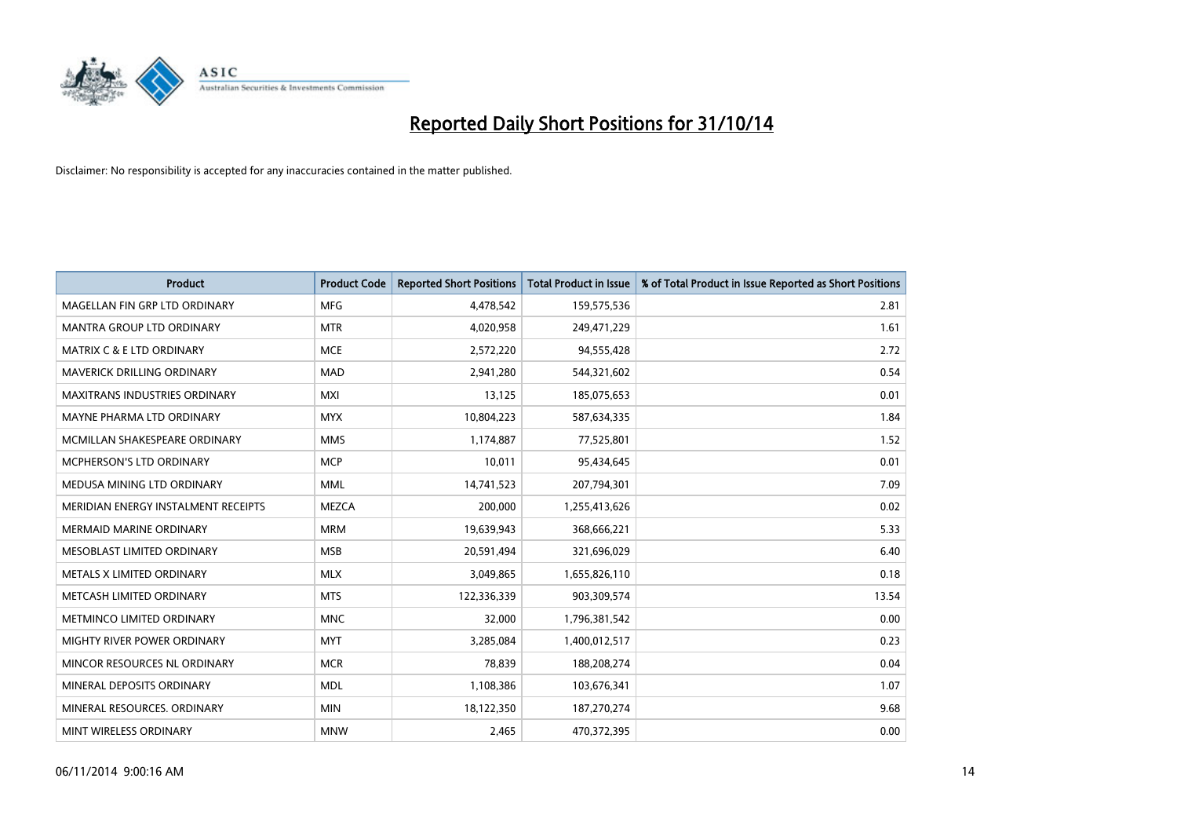

| <b>Product</b>                       | <b>Product Code</b> | <b>Reported Short Positions</b> | <b>Total Product in Issue</b> | % of Total Product in Issue Reported as Short Positions |
|--------------------------------------|---------------------|---------------------------------|-------------------------------|---------------------------------------------------------|
| MAGELLAN FIN GRP LTD ORDINARY        | <b>MFG</b>          | 4,478,542                       | 159,575,536                   | 2.81                                                    |
| MANTRA GROUP LTD ORDINARY            | <b>MTR</b>          | 4,020,958                       | 249,471,229                   | 1.61                                                    |
| <b>MATRIX C &amp; E LTD ORDINARY</b> | <b>MCE</b>          | 2,572,220                       | 94,555,428                    | 2.72                                                    |
| MAVERICK DRILLING ORDINARY           | <b>MAD</b>          | 2,941,280                       | 544,321,602                   | 0.54                                                    |
| <b>MAXITRANS INDUSTRIES ORDINARY</b> | <b>MXI</b>          | 13,125                          | 185,075,653                   | 0.01                                                    |
| MAYNE PHARMA LTD ORDINARY            | <b>MYX</b>          | 10,804,223                      | 587,634,335                   | 1.84                                                    |
| MCMILLAN SHAKESPEARE ORDINARY        | <b>MMS</b>          | 1,174,887                       | 77,525,801                    | 1.52                                                    |
| MCPHERSON'S LTD ORDINARY             | <b>MCP</b>          | 10,011                          | 95,434,645                    | 0.01                                                    |
| MEDUSA MINING LTD ORDINARY           | <b>MML</b>          | 14,741,523                      | 207,794,301                   | 7.09                                                    |
| MERIDIAN ENERGY INSTALMENT RECEIPTS  | <b>MEZCA</b>        | 200,000                         | 1,255,413,626                 | 0.02                                                    |
| MERMAID MARINE ORDINARY              | <b>MRM</b>          | 19,639,943                      | 368,666,221                   | 5.33                                                    |
| MESOBLAST LIMITED ORDINARY           | <b>MSB</b>          | 20,591,494                      | 321,696,029                   | 6.40                                                    |
| METALS X LIMITED ORDINARY            | <b>MLX</b>          | 3,049,865                       | 1,655,826,110                 | 0.18                                                    |
| METCASH LIMITED ORDINARY             | <b>MTS</b>          | 122,336,339                     | 903,309,574                   | 13.54                                                   |
| METMINCO LIMITED ORDINARY            | <b>MNC</b>          | 32,000                          | 1,796,381,542                 | 0.00                                                    |
| MIGHTY RIVER POWER ORDINARY          | <b>MYT</b>          | 3,285,084                       | 1,400,012,517                 | 0.23                                                    |
| MINCOR RESOURCES NL ORDINARY         | <b>MCR</b>          | 78,839                          | 188,208,274                   | 0.04                                                    |
| MINERAL DEPOSITS ORDINARY            | <b>MDL</b>          | 1,108,386                       | 103,676,341                   | 1.07                                                    |
| MINERAL RESOURCES, ORDINARY          | <b>MIN</b>          | 18,122,350                      | 187,270,274                   | 9.68                                                    |
| MINT WIRELESS ORDINARY               | <b>MNW</b>          | 2,465                           | 470,372,395                   | 0.00                                                    |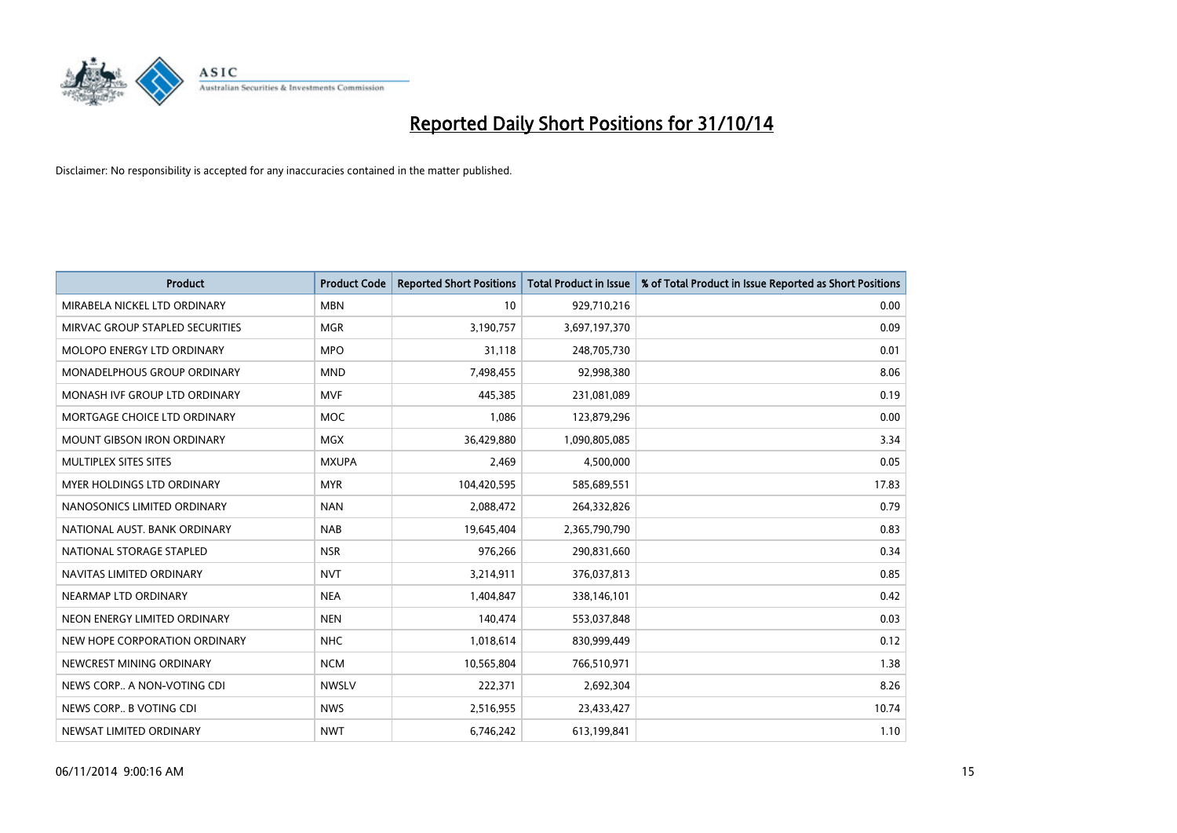

| Product                           | <b>Product Code</b> | <b>Reported Short Positions</b> | <b>Total Product in Issue</b> | % of Total Product in Issue Reported as Short Positions |
|-----------------------------------|---------------------|---------------------------------|-------------------------------|---------------------------------------------------------|
| MIRABELA NICKEL LTD ORDINARY      | <b>MBN</b>          | 10                              | 929,710,216                   | 0.00                                                    |
| MIRVAC GROUP STAPLED SECURITIES   | <b>MGR</b>          | 3,190,757                       | 3,697,197,370                 | 0.09                                                    |
| <b>MOLOPO ENERGY LTD ORDINARY</b> | <b>MPO</b>          | 31,118                          | 248,705,730                   | 0.01                                                    |
| MONADELPHOUS GROUP ORDINARY       | <b>MND</b>          | 7,498,455                       | 92,998,380                    | 8.06                                                    |
| MONASH IVF GROUP LTD ORDINARY     | <b>MVF</b>          | 445,385                         | 231,081,089                   | 0.19                                                    |
| MORTGAGE CHOICE LTD ORDINARY      | <b>MOC</b>          | 1,086                           | 123,879,296                   | 0.00                                                    |
| <b>MOUNT GIBSON IRON ORDINARY</b> | <b>MGX</b>          | 36,429,880                      | 1,090,805,085                 | 3.34                                                    |
| MULTIPLEX SITES SITES             | <b>MXUPA</b>        | 2,469                           | 4,500,000                     | 0.05                                                    |
| MYER HOLDINGS LTD ORDINARY        | <b>MYR</b>          | 104,420,595                     | 585,689,551                   | 17.83                                                   |
| NANOSONICS LIMITED ORDINARY       | <b>NAN</b>          | 2,088,472                       | 264,332,826                   | 0.79                                                    |
| NATIONAL AUST. BANK ORDINARY      | <b>NAB</b>          | 19,645,404                      | 2,365,790,790                 | 0.83                                                    |
| NATIONAL STORAGE STAPLED          | <b>NSR</b>          | 976,266                         | 290,831,660                   | 0.34                                                    |
| NAVITAS LIMITED ORDINARY          | <b>NVT</b>          | 3,214,911                       | 376,037,813                   | 0.85                                                    |
| NEARMAP LTD ORDINARY              | <b>NEA</b>          | 1,404,847                       | 338,146,101                   | 0.42                                                    |
| NEON ENERGY LIMITED ORDINARY      | <b>NEN</b>          | 140,474                         | 553,037,848                   | 0.03                                                    |
| NEW HOPE CORPORATION ORDINARY     | <b>NHC</b>          | 1,018,614                       | 830,999,449                   | 0.12                                                    |
| NEWCREST MINING ORDINARY          | <b>NCM</b>          | 10,565,804                      | 766,510,971                   | 1.38                                                    |
| NEWS CORP A NON-VOTING CDI        | <b>NWSLV</b>        | 222,371                         | 2,692,304                     | 8.26                                                    |
| NEWS CORP B VOTING CDI            | <b>NWS</b>          | 2,516,955                       | 23,433,427                    | 10.74                                                   |
| NEWSAT LIMITED ORDINARY           | <b>NWT</b>          | 6,746,242                       | 613,199,841                   | 1.10                                                    |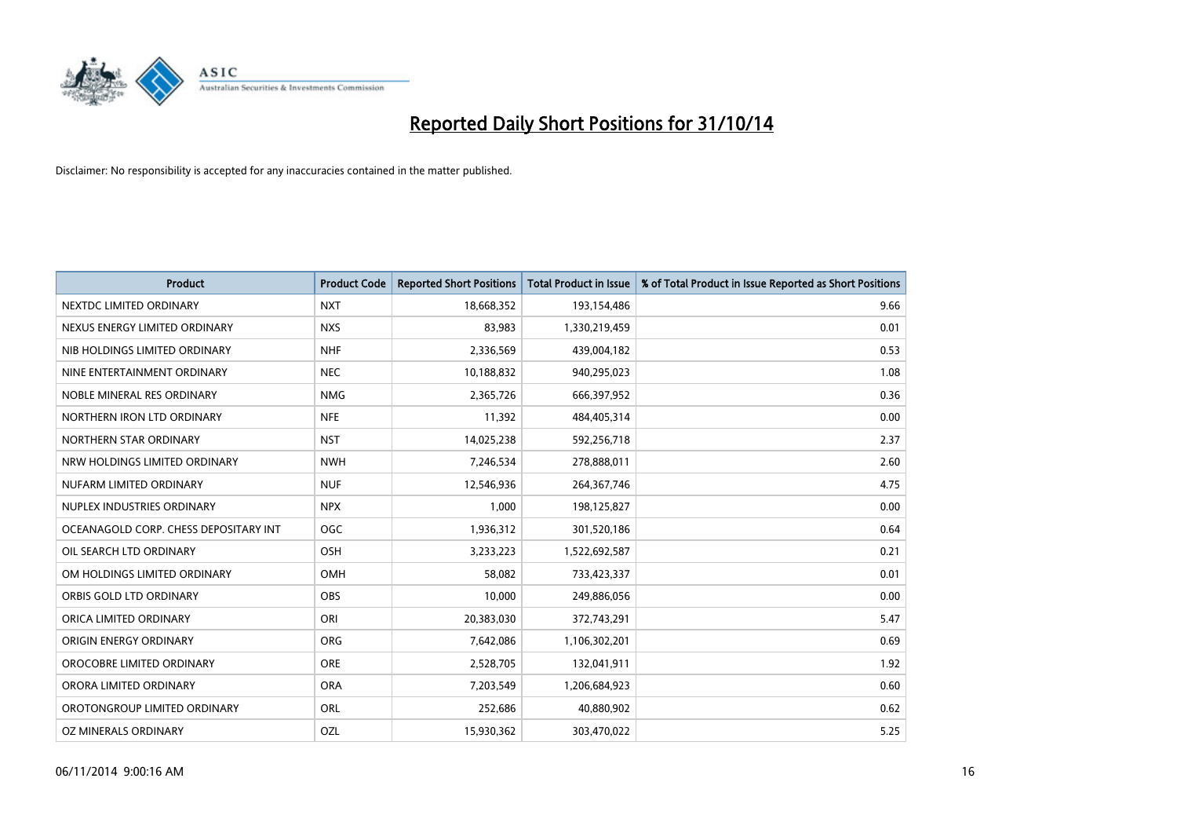

| <b>Product</b>                        | <b>Product Code</b> | <b>Reported Short Positions</b> | <b>Total Product in Issue</b> | % of Total Product in Issue Reported as Short Positions |
|---------------------------------------|---------------------|---------------------------------|-------------------------------|---------------------------------------------------------|
| NEXTDC LIMITED ORDINARY               | <b>NXT</b>          | 18,668,352                      | 193,154,486                   | 9.66                                                    |
| NEXUS ENERGY LIMITED ORDINARY         | <b>NXS</b>          | 83,983                          | 1,330,219,459                 | 0.01                                                    |
| NIB HOLDINGS LIMITED ORDINARY         | <b>NHF</b>          | 2,336,569                       | 439,004,182                   | 0.53                                                    |
| NINE ENTERTAINMENT ORDINARY           | <b>NEC</b>          | 10,188,832                      | 940,295,023                   | 1.08                                                    |
| NOBLE MINERAL RES ORDINARY            | <b>NMG</b>          | 2,365,726                       | 666,397,952                   | 0.36                                                    |
| NORTHERN IRON LTD ORDINARY            | <b>NFE</b>          | 11,392                          | 484,405,314                   | 0.00                                                    |
| NORTHERN STAR ORDINARY                | <b>NST</b>          | 14,025,238                      | 592,256,718                   | 2.37                                                    |
| NRW HOLDINGS LIMITED ORDINARY         | <b>NWH</b>          | 7,246,534                       | 278,888,011                   | 2.60                                                    |
| NUFARM LIMITED ORDINARY               | <b>NUF</b>          | 12,546,936                      | 264, 367, 746                 | 4.75                                                    |
| NUPLEX INDUSTRIES ORDINARY            | <b>NPX</b>          | 1,000                           | 198,125,827                   | 0.00                                                    |
| OCEANAGOLD CORP. CHESS DEPOSITARY INT | <b>OGC</b>          | 1,936,312                       | 301,520,186                   | 0.64                                                    |
| OIL SEARCH LTD ORDINARY               | OSH                 | 3,233,223                       | 1,522,692,587                 | 0.21                                                    |
| OM HOLDINGS LIMITED ORDINARY          | <b>OMH</b>          | 58,082                          | 733,423,337                   | 0.01                                                    |
| ORBIS GOLD LTD ORDINARY               | <b>OBS</b>          | 10,000                          | 249,886,056                   | 0.00                                                    |
| ORICA LIMITED ORDINARY                | ORI                 | 20,383,030                      | 372,743,291                   | 5.47                                                    |
| ORIGIN ENERGY ORDINARY                | ORG                 | 7,642,086                       | 1,106,302,201                 | 0.69                                                    |
| OROCOBRE LIMITED ORDINARY             | <b>ORE</b>          | 2,528,705                       | 132,041,911                   | 1.92                                                    |
| ORORA LIMITED ORDINARY                | <b>ORA</b>          | 7,203,549                       | 1,206,684,923                 | 0.60                                                    |
| OROTONGROUP LIMITED ORDINARY          | <b>ORL</b>          | 252,686                         | 40,880,902                    | 0.62                                                    |
| OZ MINERALS ORDINARY                  | OZL                 | 15,930,362                      | 303,470,022                   | 5.25                                                    |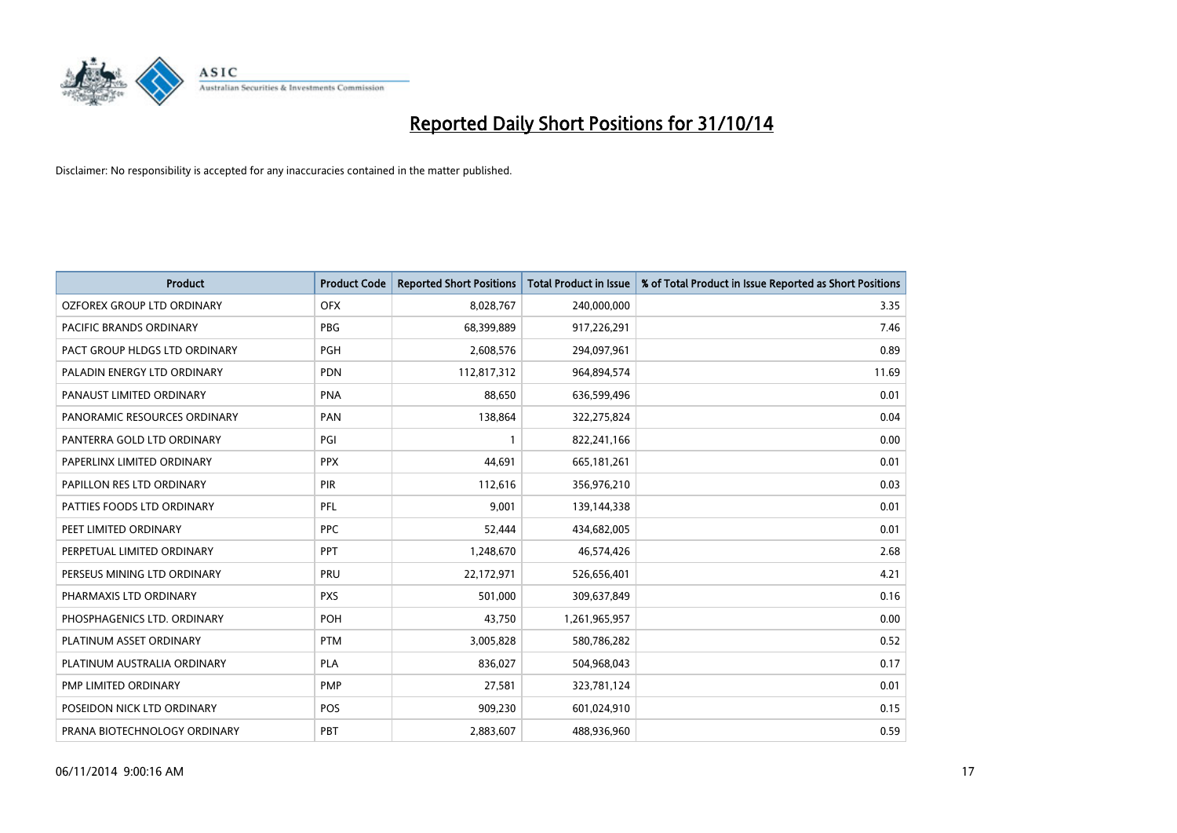

| <b>Product</b>                | <b>Product Code</b> | <b>Reported Short Positions</b> | <b>Total Product in Issue</b> | % of Total Product in Issue Reported as Short Positions |
|-------------------------------|---------------------|---------------------------------|-------------------------------|---------------------------------------------------------|
| OZFOREX GROUP LTD ORDINARY    | <b>OFX</b>          | 8,028,767                       | 240,000,000                   | 3.35                                                    |
| PACIFIC BRANDS ORDINARY       | <b>PBG</b>          | 68,399,889                      | 917,226,291                   | 7.46                                                    |
| PACT GROUP HLDGS LTD ORDINARY | <b>PGH</b>          | 2,608,576                       | 294,097,961                   | 0.89                                                    |
| PALADIN ENERGY LTD ORDINARY   | <b>PDN</b>          | 112,817,312                     | 964,894,574                   | 11.69                                                   |
| PANAUST LIMITED ORDINARY      | <b>PNA</b>          | 88,650                          | 636,599,496                   | 0.01                                                    |
| PANORAMIC RESOURCES ORDINARY  | PAN                 | 138,864                         | 322,275,824                   | 0.04                                                    |
| PANTERRA GOLD LTD ORDINARY    | PGI                 |                                 | 822,241,166                   | 0.00                                                    |
| PAPERLINX LIMITED ORDINARY    | <b>PPX</b>          | 44,691                          | 665, 181, 261                 | 0.01                                                    |
| PAPILLON RES LTD ORDINARY     | PIR                 | 112,616                         | 356,976,210                   | 0.03                                                    |
| PATTIES FOODS LTD ORDINARY    | PFL                 | 9,001                           | 139,144,338                   | 0.01                                                    |
| PEET LIMITED ORDINARY         | <b>PPC</b>          | 52,444                          | 434,682,005                   | 0.01                                                    |
| PERPETUAL LIMITED ORDINARY    | <b>PPT</b>          | 1,248,670                       | 46,574,426                    | 2.68                                                    |
| PERSEUS MINING LTD ORDINARY   | PRU                 | 22,172,971                      | 526,656,401                   | 4.21                                                    |
| PHARMAXIS LTD ORDINARY        | <b>PXS</b>          | 501,000                         | 309,637,849                   | 0.16                                                    |
| PHOSPHAGENICS LTD. ORDINARY   | POH                 | 43,750                          | 1,261,965,957                 | 0.00                                                    |
| PLATINUM ASSET ORDINARY       | <b>PTM</b>          | 3,005,828                       | 580,786,282                   | 0.52                                                    |
| PLATINUM AUSTRALIA ORDINARY   | <b>PLA</b>          | 836,027                         | 504,968,043                   | 0.17                                                    |
| PMP LIMITED ORDINARY          | <b>PMP</b>          | 27,581                          | 323,781,124                   | 0.01                                                    |
| POSEIDON NICK LTD ORDINARY    | <b>POS</b>          | 909,230                         | 601,024,910                   | 0.15                                                    |
| PRANA BIOTECHNOLOGY ORDINARY  | PBT                 | 2,883,607                       | 488,936,960                   | 0.59                                                    |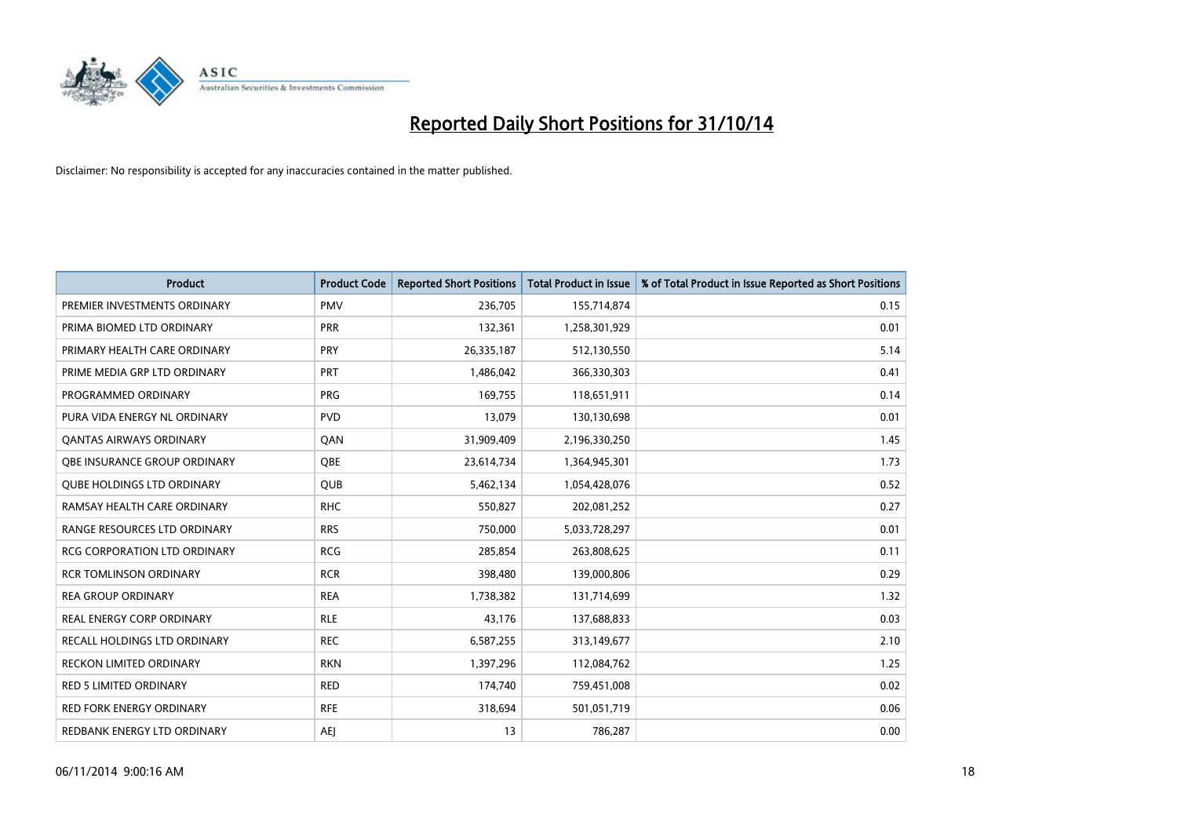

| <b>Product</b>                      | <b>Product Code</b> | <b>Reported Short Positions</b> | <b>Total Product in Issue</b> | % of Total Product in Issue Reported as Short Positions |
|-------------------------------------|---------------------|---------------------------------|-------------------------------|---------------------------------------------------------|
| PREMIER INVESTMENTS ORDINARY        | <b>PMV</b>          | 236,705                         | 155,714,874                   | 0.15                                                    |
| PRIMA BIOMED LTD ORDINARY           | <b>PRR</b>          | 132,361                         | 1,258,301,929                 | 0.01                                                    |
| PRIMARY HEALTH CARE ORDINARY        | <b>PRY</b>          | 26,335,187                      | 512,130,550                   | 5.14                                                    |
| PRIME MEDIA GRP LTD ORDINARY        | <b>PRT</b>          | 1,486,042                       | 366,330,303                   | 0.41                                                    |
| PROGRAMMED ORDINARY                 | <b>PRG</b>          | 169,755                         | 118,651,911                   | 0.14                                                    |
| PURA VIDA ENERGY NL ORDINARY        | <b>PVD</b>          | 13,079                          | 130,130,698                   | 0.01                                                    |
| <b>QANTAS AIRWAYS ORDINARY</b>      | QAN                 | 31,909,409                      | 2,196,330,250                 | 1.45                                                    |
| OBE INSURANCE GROUP ORDINARY        | QBE                 | 23,614,734                      | 1,364,945,301                 | 1.73                                                    |
| <b>OUBE HOLDINGS LTD ORDINARY</b>   | <b>QUB</b>          | 5,462,134                       | 1,054,428,076                 | 0.52                                                    |
| RAMSAY HEALTH CARE ORDINARY         | <b>RHC</b>          | 550,827                         | 202,081,252                   | 0.27                                                    |
| RANGE RESOURCES LTD ORDINARY        | <b>RRS</b>          | 750,000                         | 5,033,728,297                 | 0.01                                                    |
| <b>RCG CORPORATION LTD ORDINARY</b> | <b>RCG</b>          | 285,854                         | 263,808,625                   | 0.11                                                    |
| <b>RCR TOMLINSON ORDINARY</b>       | <b>RCR</b>          | 398,480                         | 139,000,806                   | 0.29                                                    |
| <b>REA GROUP ORDINARY</b>           | <b>REA</b>          | 1,738,382                       | 131,714,699                   | 1.32                                                    |
| <b>REAL ENERGY CORP ORDINARY</b>    | <b>RLE</b>          | 43,176                          | 137,688,833                   | 0.03                                                    |
| <b>RECALL HOLDINGS LTD ORDINARY</b> | <b>REC</b>          | 6,587,255                       | 313,149,677                   | 2.10                                                    |
| <b>RECKON LIMITED ORDINARY</b>      | <b>RKN</b>          | 1,397,296                       | 112,084,762                   | 1.25                                                    |
| <b>RED 5 LIMITED ORDINARY</b>       | <b>RED</b>          | 174,740                         | 759,451,008                   | 0.02                                                    |
| <b>RED FORK ENERGY ORDINARY</b>     | <b>RFE</b>          | 318,694                         | 501,051,719                   | 0.06                                                    |
| REDBANK ENERGY LTD ORDINARY         | <b>AEJ</b>          | 13                              | 786,287                       | 0.00                                                    |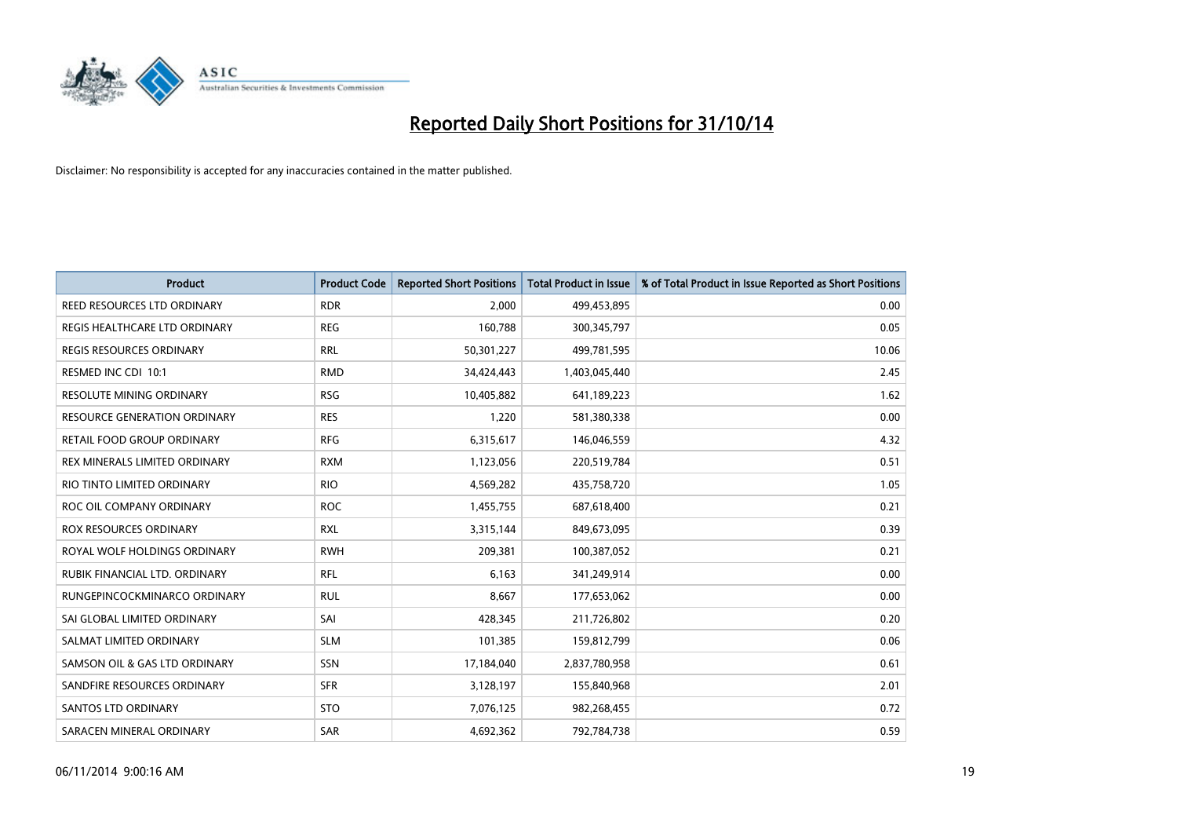

| <b>Product</b>                      | <b>Product Code</b> | <b>Reported Short Positions</b> | Total Product in Issue | % of Total Product in Issue Reported as Short Positions |
|-------------------------------------|---------------------|---------------------------------|------------------------|---------------------------------------------------------|
| REED RESOURCES LTD ORDINARY         | <b>RDR</b>          | 2.000                           | 499,453,895            | 0.00                                                    |
| REGIS HEALTHCARE LTD ORDINARY       | <b>REG</b>          | 160,788                         | 300, 345, 797          | 0.05                                                    |
| <b>REGIS RESOURCES ORDINARY</b>     | <b>RRL</b>          | 50,301,227                      | 499,781,595            | 10.06                                                   |
| RESMED INC CDI 10:1                 | <b>RMD</b>          | 34,424,443                      | 1,403,045,440          | 2.45                                                    |
| <b>RESOLUTE MINING ORDINARY</b>     | <b>RSG</b>          | 10,405,882                      | 641,189,223            | 1.62                                                    |
| <b>RESOURCE GENERATION ORDINARY</b> | <b>RES</b>          | 1,220                           | 581,380,338            | 0.00                                                    |
| RETAIL FOOD GROUP ORDINARY          | <b>RFG</b>          | 6,315,617                       | 146,046,559            | 4.32                                                    |
| REX MINERALS LIMITED ORDINARY       | <b>RXM</b>          | 1,123,056                       | 220,519,784            | 0.51                                                    |
| RIO TINTO LIMITED ORDINARY          | <b>RIO</b>          | 4,569,282                       | 435,758,720            | 1.05                                                    |
| ROC OIL COMPANY ORDINARY            | <b>ROC</b>          | 1,455,755                       | 687,618,400            | 0.21                                                    |
| ROX RESOURCES ORDINARY              | <b>RXL</b>          | 3,315,144                       | 849,673,095            | 0.39                                                    |
| ROYAL WOLF HOLDINGS ORDINARY        | <b>RWH</b>          | 209,381                         | 100,387,052            | 0.21                                                    |
| RUBIK FINANCIAL LTD. ORDINARY       | <b>RFL</b>          | 6,163                           | 341,249,914            | 0.00                                                    |
| RUNGEPINCOCKMINARCO ORDINARY        | RUL                 | 8,667                           | 177,653,062            | 0.00                                                    |
| SAI GLOBAL LIMITED ORDINARY         | SAI                 | 428,345                         | 211,726,802            | 0.20                                                    |
| SALMAT LIMITED ORDINARY             | <b>SLM</b>          | 101,385                         | 159,812,799            | 0.06                                                    |
| SAMSON OIL & GAS LTD ORDINARY       | SSN                 | 17,184,040                      | 2,837,780,958          | 0.61                                                    |
| SANDFIRE RESOURCES ORDINARY         | <b>SFR</b>          | 3,128,197                       | 155,840,968            | 2.01                                                    |
| <b>SANTOS LTD ORDINARY</b>          | <b>STO</b>          | 7,076,125                       | 982,268,455            | 0.72                                                    |
| SARACEN MINERAL ORDINARY            | <b>SAR</b>          | 4,692,362                       | 792,784,738            | 0.59                                                    |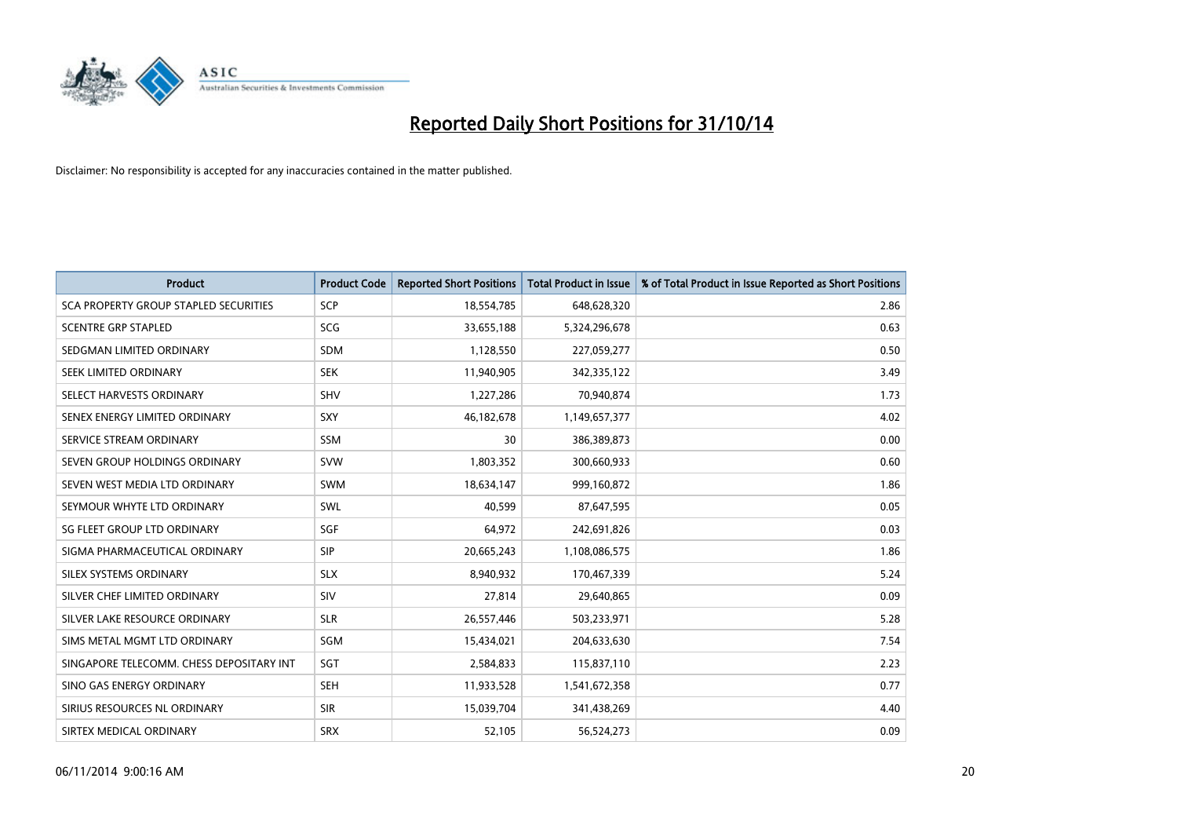

| <b>Product</b>                           | <b>Product Code</b> | <b>Reported Short Positions</b> | <b>Total Product in Issue</b> | % of Total Product in Issue Reported as Short Positions |
|------------------------------------------|---------------------|---------------------------------|-------------------------------|---------------------------------------------------------|
| SCA PROPERTY GROUP STAPLED SECURITIES    | <b>SCP</b>          | 18,554,785                      | 648,628,320                   | 2.86                                                    |
| <b>SCENTRE GRP STAPLED</b>               | SCG                 | 33,655,188                      | 5,324,296,678                 | 0.63                                                    |
| SEDGMAN LIMITED ORDINARY                 | <b>SDM</b>          | 1,128,550                       | 227,059,277                   | 0.50                                                    |
| SEEK LIMITED ORDINARY                    | <b>SEK</b>          | 11,940,905                      | 342,335,122                   | 3.49                                                    |
| SELECT HARVESTS ORDINARY                 | <b>SHV</b>          | 1,227,286                       | 70,940,874                    | 1.73                                                    |
| SENEX ENERGY LIMITED ORDINARY            | SXY                 | 46,182,678                      | 1,149,657,377                 | 4.02                                                    |
| SERVICE STREAM ORDINARY                  | <b>SSM</b>          | 30                              | 386,389,873                   | 0.00                                                    |
| SEVEN GROUP HOLDINGS ORDINARY            | <b>SVW</b>          | 1,803,352                       | 300,660,933                   | 0.60                                                    |
| SEVEN WEST MEDIA LTD ORDINARY            | SWM                 | 18,634,147                      | 999,160,872                   | 1.86                                                    |
| SEYMOUR WHYTE LTD ORDINARY               | <b>SWL</b>          | 40,599                          | 87,647,595                    | 0.05                                                    |
| SG FLEET GROUP LTD ORDINARY              | SGF                 | 64,972                          | 242,691,826                   | 0.03                                                    |
| SIGMA PHARMACEUTICAL ORDINARY            | <b>SIP</b>          | 20,665,243                      | 1,108,086,575                 | 1.86                                                    |
| SILEX SYSTEMS ORDINARY                   | <b>SLX</b>          | 8,940,932                       | 170,467,339                   | 5.24                                                    |
| SILVER CHEF LIMITED ORDINARY             | SIV                 | 27,814                          | 29,640,865                    | 0.09                                                    |
| SILVER LAKE RESOURCE ORDINARY            | <b>SLR</b>          | 26,557,446                      | 503,233,971                   | 5.28                                                    |
| SIMS METAL MGMT LTD ORDINARY             | SGM                 | 15,434,021                      | 204,633,630                   | 7.54                                                    |
| SINGAPORE TELECOMM. CHESS DEPOSITARY INT | SGT                 | 2,584,833                       | 115,837,110                   | 2.23                                                    |
| SINO GAS ENERGY ORDINARY                 | <b>SEH</b>          | 11,933,528                      | 1,541,672,358                 | 0.77                                                    |
| SIRIUS RESOURCES NL ORDINARY             | <b>SIR</b>          | 15,039,704                      | 341,438,269                   | 4.40                                                    |
| SIRTEX MEDICAL ORDINARY                  | <b>SRX</b>          | 52,105                          | 56,524,273                    | 0.09                                                    |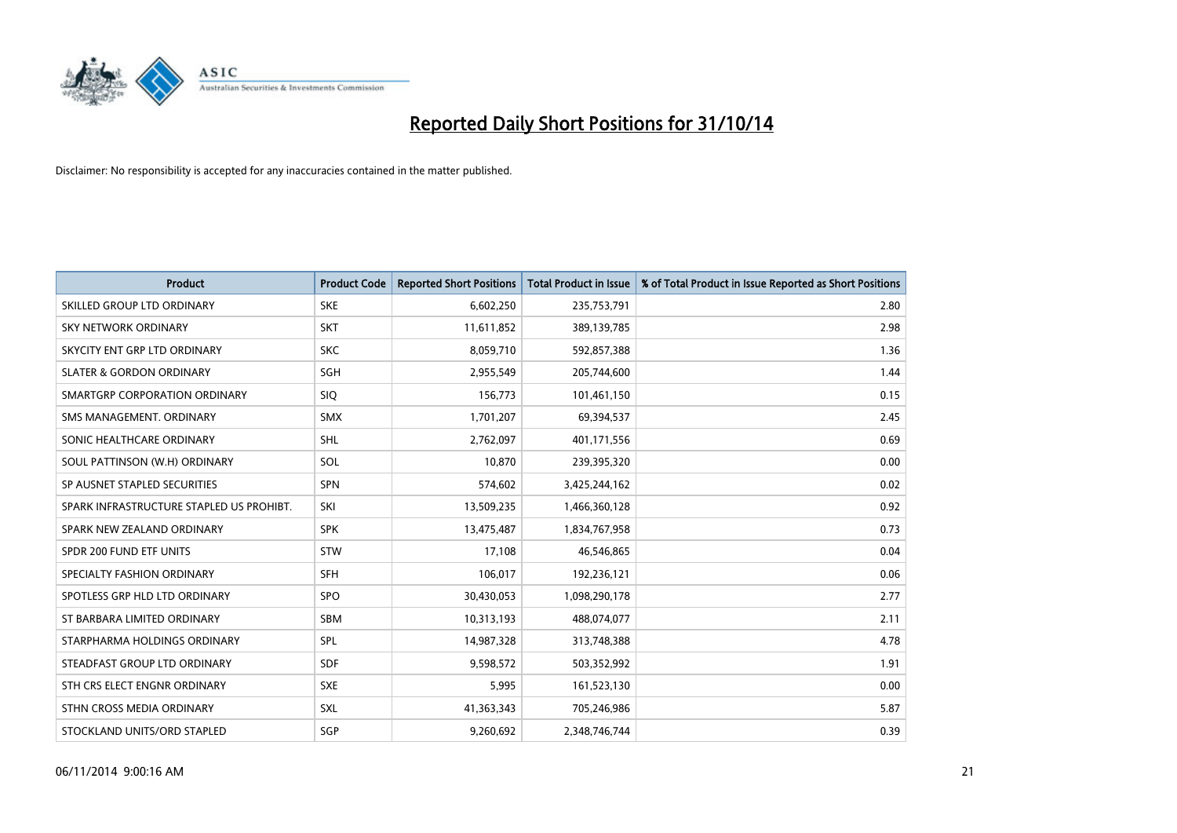

| <b>Product</b>                           | <b>Product Code</b> | <b>Reported Short Positions</b> | <b>Total Product in Issue</b> | % of Total Product in Issue Reported as Short Positions |
|------------------------------------------|---------------------|---------------------------------|-------------------------------|---------------------------------------------------------|
| SKILLED GROUP LTD ORDINARY               | <b>SKE</b>          | 6,602,250                       | 235,753,791                   | 2.80                                                    |
| SKY NETWORK ORDINARY                     | <b>SKT</b>          | 11,611,852                      | 389,139,785                   | 2.98                                                    |
| SKYCITY ENT GRP LTD ORDINARY             | <b>SKC</b>          | 8,059,710                       | 592,857,388                   | 1.36                                                    |
| <b>SLATER &amp; GORDON ORDINARY</b>      | SGH                 | 2,955,549                       | 205,744,600                   | 1.44                                                    |
| SMARTGRP CORPORATION ORDINARY            | SIQ.                | 156,773                         | 101,461,150                   | 0.15                                                    |
| SMS MANAGEMENT, ORDINARY                 | <b>SMX</b>          | 1,701,207                       | 69,394,537                    | 2.45                                                    |
| SONIC HEALTHCARE ORDINARY                | SHL                 | 2,762,097                       | 401,171,556                   | 0.69                                                    |
| SOUL PATTINSON (W.H) ORDINARY            | SOL                 | 10,870                          | 239,395,320                   | 0.00                                                    |
| SP AUSNET STAPLED SECURITIES             | <b>SPN</b>          | 574,602                         | 3,425,244,162                 | 0.02                                                    |
| SPARK INFRASTRUCTURE STAPLED US PROHIBT. | SKI                 | 13,509,235                      | 1,466,360,128                 | 0.92                                                    |
| SPARK NEW ZEALAND ORDINARY               | <b>SPK</b>          | 13,475,487                      | 1,834,767,958                 | 0.73                                                    |
| SPDR 200 FUND ETF UNITS                  | <b>STW</b>          | 17,108                          | 46,546,865                    | 0.04                                                    |
| SPECIALTY FASHION ORDINARY               | <b>SFH</b>          | 106,017                         | 192,236,121                   | 0.06                                                    |
| SPOTLESS GRP HLD LTD ORDINARY            | <b>SPO</b>          | 30,430,053                      | 1,098,290,178                 | 2.77                                                    |
| ST BARBARA LIMITED ORDINARY              | <b>SBM</b>          | 10,313,193                      | 488,074,077                   | 2.11                                                    |
| STARPHARMA HOLDINGS ORDINARY             | SPL                 | 14,987,328                      | 313,748,388                   | 4.78                                                    |
| STEADFAST GROUP LTD ORDINARY             | <b>SDF</b>          | 9,598,572                       | 503,352,992                   | 1.91                                                    |
| STH CRS ELECT ENGNR ORDINARY             | <b>SXE</b>          | 5,995                           | 161,523,130                   | 0.00                                                    |
| STHN CROSS MEDIA ORDINARY                | <b>SXL</b>          | 41,363,343                      | 705,246,986                   | 5.87                                                    |
| STOCKLAND UNITS/ORD STAPLED              | SGP                 | 9,260,692                       | 2,348,746,744                 | 0.39                                                    |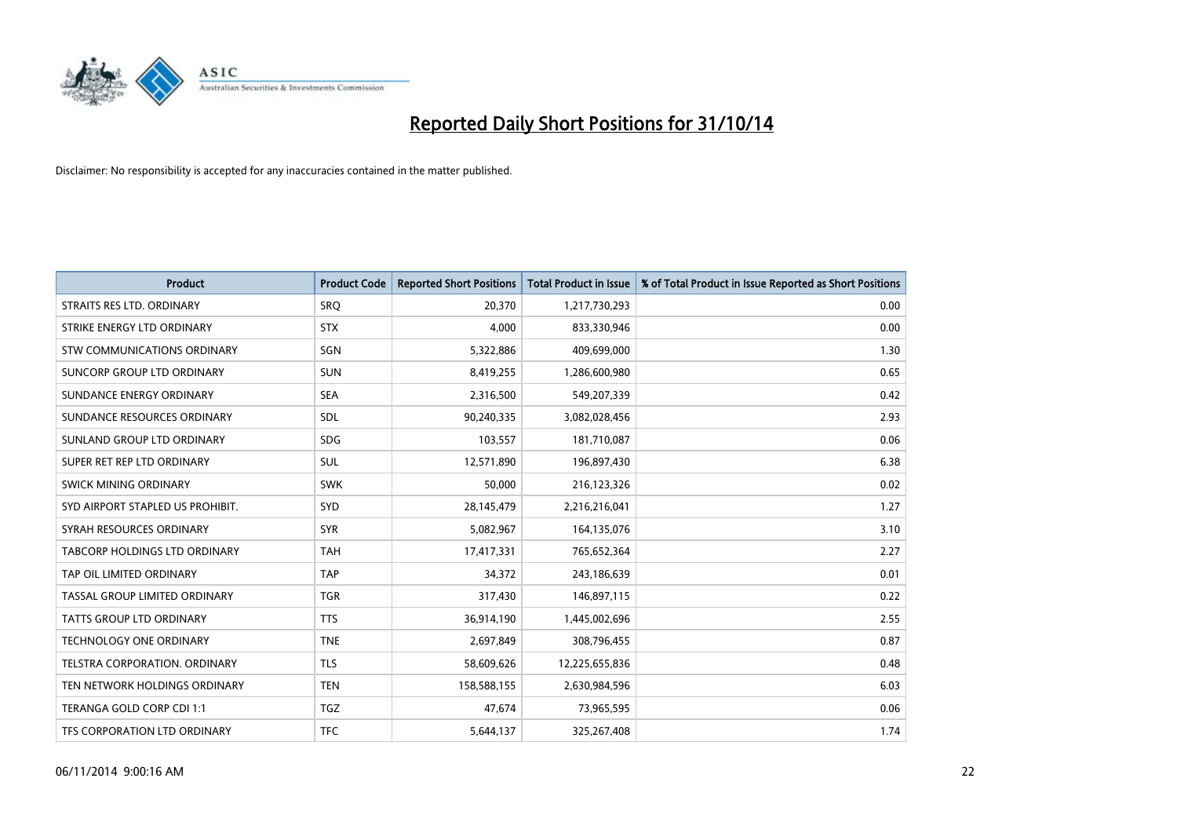

| <b>Product</b>                   | <b>Product Code</b> | <b>Reported Short Positions</b> | <b>Total Product in Issue</b> | % of Total Product in Issue Reported as Short Positions |
|----------------------------------|---------------------|---------------------------------|-------------------------------|---------------------------------------------------------|
| STRAITS RES LTD. ORDINARY        | SRO                 | 20,370                          | 1,217,730,293                 | 0.00                                                    |
| STRIKE ENERGY LTD ORDINARY       | <b>STX</b>          | 4,000                           | 833,330,946                   | 0.00                                                    |
| STW COMMUNICATIONS ORDINARY      | SGN                 | 5,322,886                       | 409,699,000                   | 1.30                                                    |
| SUNCORP GROUP LTD ORDINARY       | <b>SUN</b>          | 8,419,255                       | 1,286,600,980                 | 0.65                                                    |
| SUNDANCE ENERGY ORDINARY         | <b>SEA</b>          | 2,316,500                       | 549,207,339                   | 0.42                                                    |
| SUNDANCE RESOURCES ORDINARY      | <b>SDL</b>          | 90,240,335                      | 3,082,028,456                 | 2.93                                                    |
| SUNLAND GROUP LTD ORDINARY       | <b>SDG</b>          | 103,557                         | 181,710,087                   | 0.06                                                    |
| SUPER RET REP LTD ORDINARY       | <b>SUL</b>          | 12,571,890                      | 196,897,430                   | 6.38                                                    |
| <b>SWICK MINING ORDINARY</b>     | <b>SWK</b>          | 50,000                          | 216,123,326                   | 0.02                                                    |
| SYD AIRPORT STAPLED US PROHIBIT. | SYD                 | 28,145,479                      | 2,216,216,041                 | 1.27                                                    |
| SYRAH RESOURCES ORDINARY         | <b>SYR</b>          | 5,082,967                       | 164,135,076                   | 3.10                                                    |
| TABCORP HOLDINGS LTD ORDINARY    | <b>TAH</b>          | 17,417,331                      | 765,652,364                   | 2.27                                                    |
| TAP OIL LIMITED ORDINARY         | <b>TAP</b>          | 34,372                          | 243,186,639                   | 0.01                                                    |
| TASSAL GROUP LIMITED ORDINARY    | <b>TGR</b>          | 317,430                         | 146,897,115                   | 0.22                                                    |
| <b>TATTS GROUP LTD ORDINARY</b>  | <b>TTS</b>          | 36,914,190                      | 1,445,002,696                 | 2.55                                                    |
| TECHNOLOGY ONE ORDINARY          | <b>TNE</b>          | 2,697,849                       | 308,796,455                   | 0.87                                                    |
| TELSTRA CORPORATION, ORDINARY    | <b>TLS</b>          | 58,609,626                      | 12,225,655,836                | 0.48                                                    |
| TEN NETWORK HOLDINGS ORDINARY    | <b>TEN</b>          | 158,588,155                     | 2,630,984,596                 | 6.03                                                    |
| TERANGA GOLD CORP CDI 1:1        | <b>TGZ</b>          | 47,674                          | 73,965,595                    | 0.06                                                    |
| TFS CORPORATION LTD ORDINARY     | <b>TFC</b>          | 5,644,137                       | 325,267,408                   | 1.74                                                    |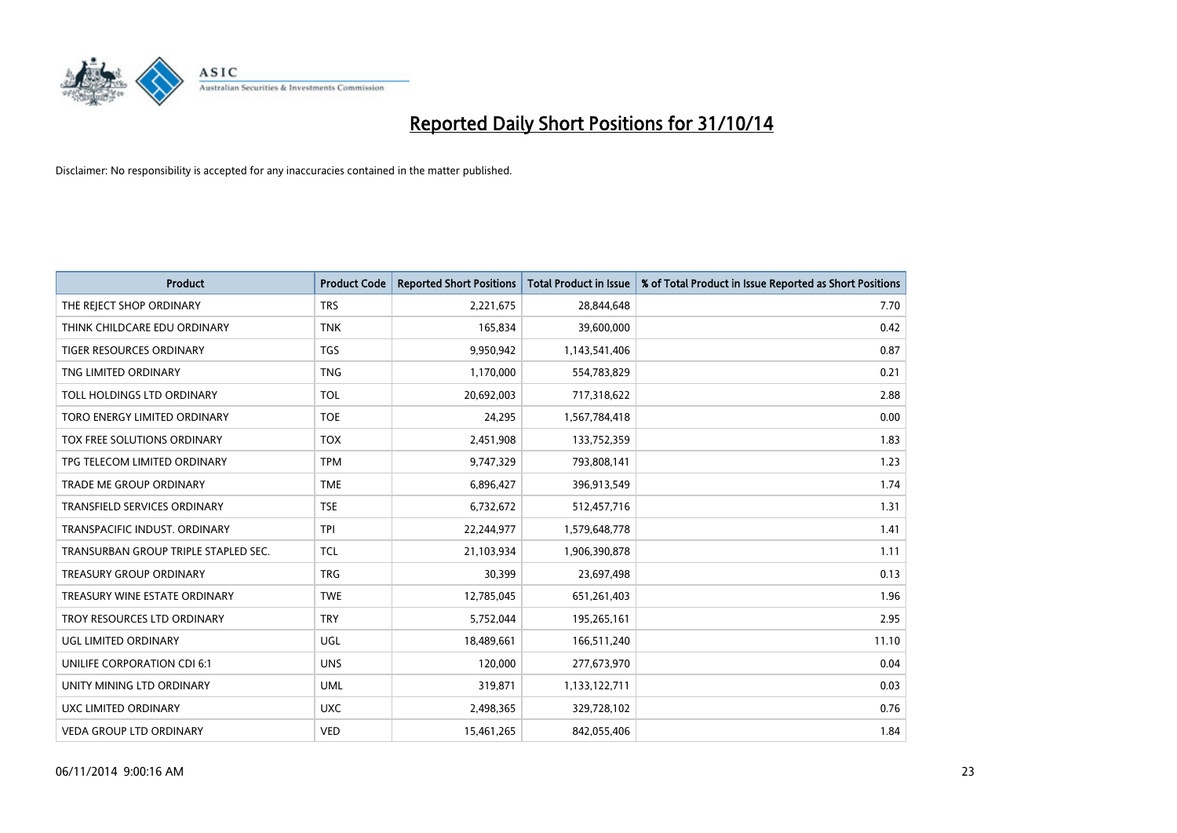

| <b>Product</b>                       | <b>Product Code</b> | <b>Reported Short Positions</b> | <b>Total Product in Issue</b> | % of Total Product in Issue Reported as Short Positions |
|--------------------------------------|---------------------|---------------------------------|-------------------------------|---------------------------------------------------------|
| THE REJECT SHOP ORDINARY             | <b>TRS</b>          | 2,221,675                       | 28,844,648                    | 7.70                                                    |
| THINK CHILDCARE EDU ORDINARY         | <b>TNK</b>          | 165,834                         | 39,600,000                    | 0.42                                                    |
| <b>TIGER RESOURCES ORDINARY</b>      | <b>TGS</b>          | 9,950,942                       | 1,143,541,406                 | 0.87                                                    |
| TNG LIMITED ORDINARY                 | <b>TNG</b>          | 1,170,000                       | 554,783,829                   | 0.21                                                    |
| TOLL HOLDINGS LTD ORDINARY           | <b>TOL</b>          | 20,692,003                      | 717,318,622                   | 2.88                                                    |
| TORO ENERGY LIMITED ORDINARY         | <b>TOE</b>          | 24,295                          | 1,567,784,418                 | 0.00                                                    |
| TOX FREE SOLUTIONS ORDINARY          | <b>TOX</b>          | 2,451,908                       | 133,752,359                   | 1.83                                                    |
| TPG TELECOM LIMITED ORDINARY         | <b>TPM</b>          | 9,747,329                       | 793,808,141                   | 1.23                                                    |
| <b>TRADE ME GROUP ORDINARY</b>       | <b>TME</b>          | 6,896,427                       | 396,913,549                   | 1.74                                                    |
| <b>TRANSFIELD SERVICES ORDINARY</b>  | <b>TSE</b>          | 6,732,672                       | 512,457,716                   | 1.31                                                    |
| TRANSPACIFIC INDUST. ORDINARY        | <b>TPI</b>          | 22,244,977                      | 1,579,648,778                 | 1.41                                                    |
| TRANSURBAN GROUP TRIPLE STAPLED SEC. | <b>TCL</b>          | 21,103,934                      | 1,906,390,878                 | 1.11                                                    |
| TREASURY GROUP ORDINARY              | <b>TRG</b>          | 30,399                          | 23,697,498                    | 0.13                                                    |
| TREASURY WINE ESTATE ORDINARY        | <b>TWE</b>          | 12,785,045                      | 651,261,403                   | 1.96                                                    |
| TROY RESOURCES LTD ORDINARY          | <b>TRY</b>          | 5,752,044                       | 195,265,161                   | 2.95                                                    |
| UGL LIMITED ORDINARY                 | UGL                 | 18,489,661                      | 166,511,240                   | 11.10                                                   |
| UNILIFE CORPORATION CDI 6:1          | <b>UNS</b>          | 120,000                         | 277,673,970                   | 0.04                                                    |
| UNITY MINING LTD ORDINARY            | <b>UML</b>          | 319,871                         | 1,133,122,711                 | 0.03                                                    |
| UXC LIMITED ORDINARY                 | <b>UXC</b>          | 2,498,365                       | 329,728,102                   | 0.76                                                    |
| <b>VEDA GROUP LTD ORDINARY</b>       | <b>VED</b>          | 15,461,265                      | 842,055,406                   | 1.84                                                    |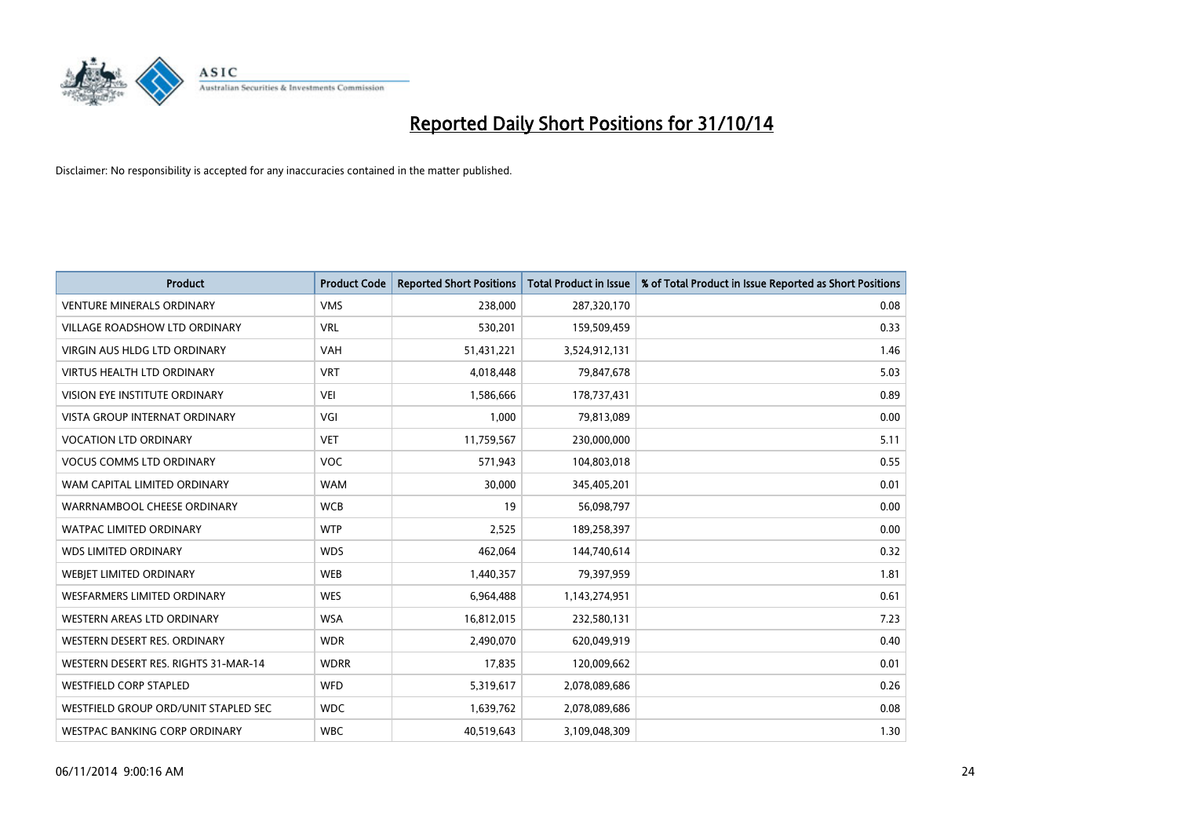

| <b>Product</b>                       | <b>Product Code</b> | <b>Reported Short Positions</b> | <b>Total Product in Issue</b> | % of Total Product in Issue Reported as Short Positions |
|--------------------------------------|---------------------|---------------------------------|-------------------------------|---------------------------------------------------------|
| <b>VENTURE MINERALS ORDINARY</b>     | <b>VMS</b>          | 238,000                         | 287,320,170                   | 0.08                                                    |
| VILLAGE ROADSHOW LTD ORDINARY        | <b>VRL</b>          | 530,201                         | 159,509,459                   | 0.33                                                    |
| <b>VIRGIN AUS HLDG LTD ORDINARY</b>  | <b>VAH</b>          | 51,431,221                      | 3,524,912,131                 | 1.46                                                    |
| <b>VIRTUS HEALTH LTD ORDINARY</b>    | <b>VRT</b>          | 4,018,448                       | 79,847,678                    | 5.03                                                    |
| <b>VISION EYE INSTITUTE ORDINARY</b> | <b>VEI</b>          | 1,586,666                       | 178,737,431                   | 0.89                                                    |
| <b>VISTA GROUP INTERNAT ORDINARY</b> | VGI                 | 1,000                           | 79,813,089                    | 0.00                                                    |
| <b>VOCATION LTD ORDINARY</b>         | <b>VET</b>          | 11,759,567                      | 230,000,000                   | 5.11                                                    |
| <b>VOCUS COMMS LTD ORDINARY</b>      | <b>VOC</b>          | 571,943                         | 104,803,018                   | 0.55                                                    |
| WAM CAPITAL LIMITED ORDINARY         | <b>WAM</b>          | 30,000                          | 345,405,201                   | 0.01                                                    |
| WARRNAMBOOL CHEESE ORDINARY          | <b>WCB</b>          | 19                              | 56,098,797                    | 0.00                                                    |
| WATPAC LIMITED ORDINARY              | <b>WTP</b>          | 2,525                           | 189,258,397                   | 0.00                                                    |
| <b>WDS LIMITED ORDINARY</b>          | <b>WDS</b>          | 462,064                         | 144,740,614                   | 0.32                                                    |
| WEBIET LIMITED ORDINARY              | <b>WEB</b>          | 1,440,357                       | 79,397,959                    | 1.81                                                    |
| <b>WESFARMERS LIMITED ORDINARY</b>   | <b>WES</b>          | 6,964,488                       | 1,143,274,951                 | 0.61                                                    |
| WESTERN AREAS LTD ORDINARY           | <b>WSA</b>          | 16,812,015                      | 232,580,131                   | 7.23                                                    |
| WESTERN DESERT RES. ORDINARY         | <b>WDR</b>          | 2,490,070                       | 620,049,919                   | 0.40                                                    |
| WESTERN DESERT RES. RIGHTS 31-MAR-14 | <b>WDRR</b>         | 17,835                          | 120,009,662                   | 0.01                                                    |
| <b>WESTFIELD CORP STAPLED</b>        | <b>WFD</b>          | 5,319,617                       | 2,078,089,686                 | 0.26                                                    |
| WESTFIELD GROUP ORD/UNIT STAPLED SEC | <b>WDC</b>          | 1,639,762                       | 2,078,089,686                 | 0.08                                                    |
| WESTPAC BANKING CORP ORDINARY        | <b>WBC</b>          | 40,519,643                      | 3,109,048,309                 | 1.30                                                    |